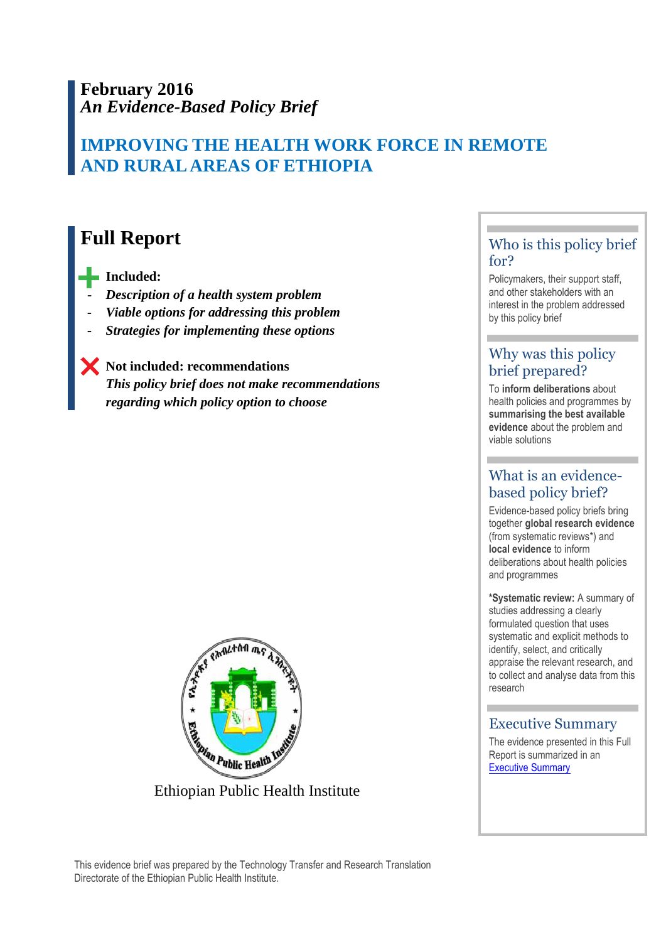# **February 2016** *An Evidence-Based Policy Brief*

# **IMPROVING THE HEALTH WORK FORCE IN REMOTE AND RURAL AREAS OF ETHIOPIA**

# **Full Report**

 **Included:** 

- *Description of a health system problem*
- *Viable options for addressing this problem*
- *<u>Strategies for implementing these options</u>*

 **Not included: recommendations** *This policy brief does not make recommendations regarding which policy option to choose*



# Who is this policy brief for?

Policymakers, their support staff, and other stakeholders with an interest in the problem addressed by this policy brief

# Why was this policy brief prepared?

To **inform deliberations** about health policies and programmes by **summarising the best available evidence** about the problem and viable solutions

# What is an evidencebased policy brief?

Evidence-based policy briefs bring together **global research evidence** (from systematic reviews\*) and **local evidence** to inform deliberations about health policies and programmes

**\*Systematic review:** A summary of studies addressing a clearly formulated question that uses systematic and explicit methods to identify, select, and critically appraise the relevant research, and to collect and analyse data from this research

### Executive Summary

.

The evidence presented in this Full Report is summarized in an **[Executive Summary](file:///C:/Users/aox/Documents/Andy/NaKs/Users/aox/AppData/Local/Microsoft/Windows/Temporary%20Internet%20Files/Content.Outlook/A5320PQD/link-to-full-report)**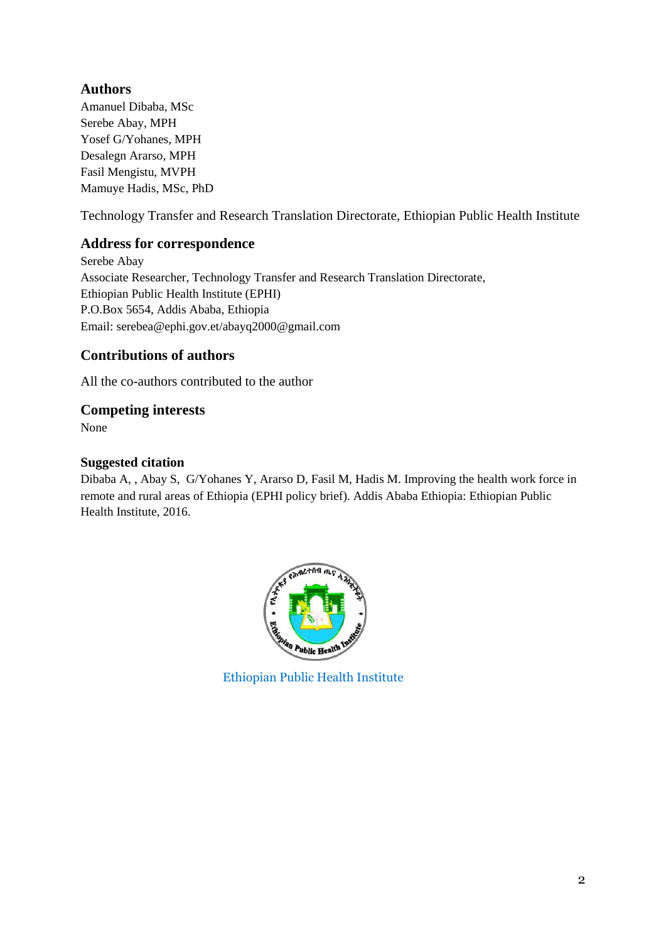# **Authors**

Amanuel Dibaba, MSc Serebe Abay, MPH Yosef G/Yohanes, MPH Desalegn Ararso, MPH Fasil Mengistu, MVPH Mamuye Hadis, MSc, PhD

Technology Transfer and Research Translation Directorate, Ethiopian Public Health Institute

## **Address for correspondence**

Serebe Abay Associate Researcher, Technology Transfer and Research Translation Directorate, Ethiopian Public Health Institute (EPHI) P.O.Box 5654, Addis Ababa, Ethiopia Email: serebea@ephi.gov.et/abayq2000@gmail.com

# **Contributions of authors**

All the co-authors contributed to the author

## **Competing interests**

None

### **Suggested citation**

Dibaba A, , Abay S, G/Yohanes Y, Ararso D, Fasil M, Hadis M. Improving the health work force in remote and rural areas of Ethiopia (EPHI policy brief). Addis Ababa Ethiopia: Ethiopian Public Health Institute, 2016.



Ethiopian Public Health Institute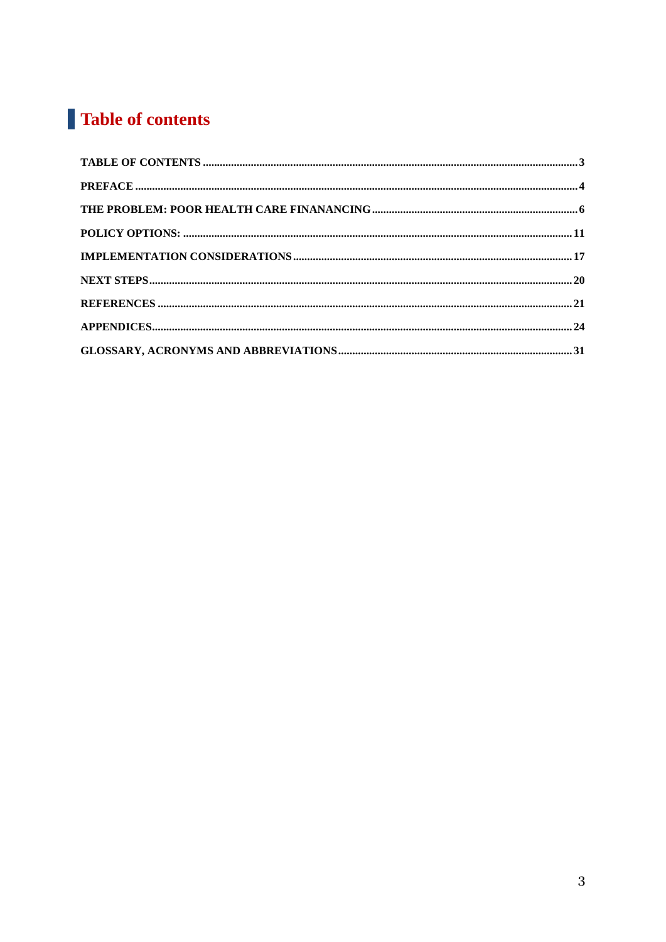# Table of contents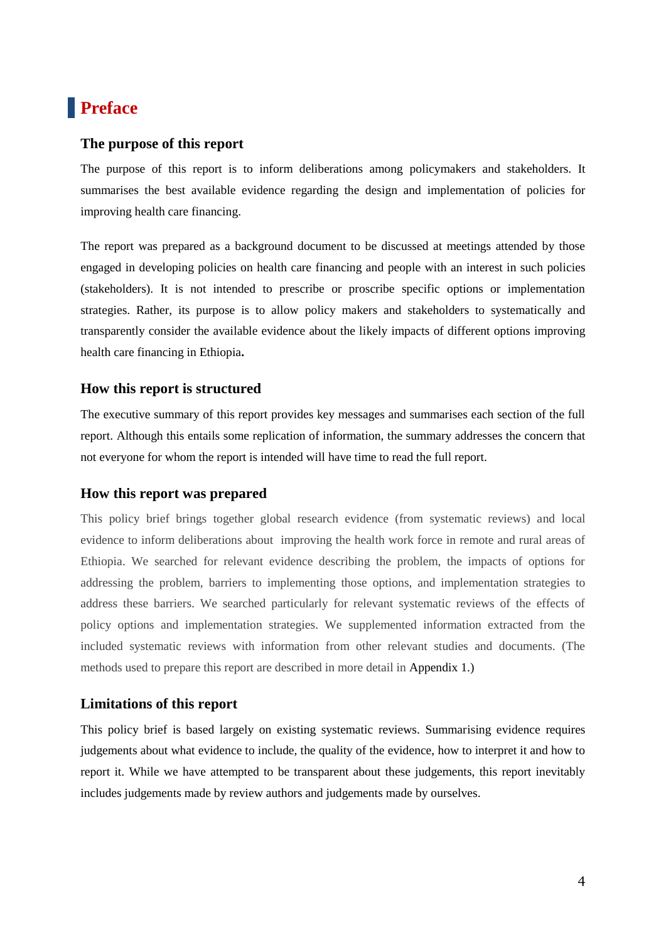# **Preface**

#### **The purpose of this report**

The purpose of this report is to inform deliberations among policymakers and stakeholders. It summarises the best available evidence regarding the design and implementation of policies for improving health care financing.

The report was prepared as a background document to be discussed at meetings attended by those engaged in developing policies on health care financing and people with an interest in such policies (stakeholders). It is not intended to prescribe or proscribe specific options or implementation strategies. Rather, its purpose is to allow policy makers and stakeholders to systematically and transparently consider the available evidence about the likely impacts of different options improving health care financing in Ethiopia**.**

#### **How this report is structured**

The executive summary of this report provides key messages and summarises each section of the full report. Although this entails some replication of information, the summary addresses the concern that not everyone for whom the report is intended will have time to read the full report.

#### **How this report was prepared**

This policy brief brings together global research evidence (from systematic reviews) and local evidence to inform deliberations about improving the health work force in remote and rural areas of Ethiopia. We searched for relevant evidence describing the problem, the impacts of options for addressing the problem, barriers to implementing those options, and implementation strategies to address these barriers. We searched particularly for relevant systematic reviews of the effects of policy options and implementation strategies. We supplemented information extracted from the included systematic reviews with information from other relevant studies and documents. (The methods used to prepare this report are described in more detail in Appendix 1.)

#### **Limitations of this report**

This policy brief is based largely on existing systematic reviews. Summarising evidence requires judgements about what evidence to include, the quality of the evidence, how to interpret it and how to report it. While we have attempted to be transparent about these judgements, this report inevitably includes judgements made by review authors and judgements made by ourselves.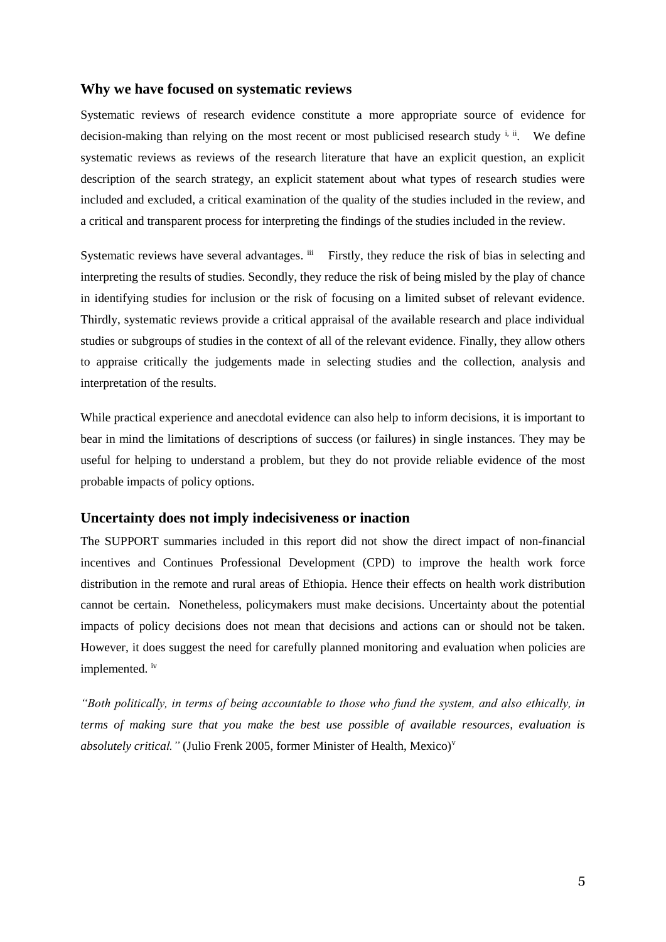#### **Why we have focused on systematic reviews**

Systematic reviews of research evidence constitute a more appropriate source of evidence for decision-making than relying on the most recent or most publicised research study  $\frac{1}{n}$ . We define systematic reviews as reviews of the research literature that have an explicit question, an explicit description of the search strategy, an explicit statement about what types of research studies were included and excluded, a critical examination of the quality of the studies included in the review, and a critical and transparent process for interpreting the findings of the studies included in the review.

Systematic reviews have several advantages.  $\overline{u}$  Firstly, they reduce the risk of bias in selecting and interpreting the results of studies. Secondly, they reduce the risk of being misled by the play of chance in identifying studies for inclusion or the risk of focusing on a limited subset of relevant evidence. Thirdly, systematic reviews provide a critical appraisal of the available research and place individual studies or subgroups of studies in the context of all of the relevant evidence. Finally, they allow others to appraise critically the judgements made in selecting studies and the collection, analysis and interpretation of the results.

While practical experience and anecdotal evidence can also help to inform decisions, it is important to bear in mind the limitations of descriptions of success (or failures) in single instances. They may be useful for helping to understand a problem, but they do not provide reliable evidence of the most probable impacts of policy options.

#### **Uncertainty does not imply indecisiveness or inaction**

The SUPPORT summaries included in this report did not show the direct impact of non-financial incentives and Continues Professional Development (CPD) to improve the health work force distribution in the remote and rural areas of Ethiopia. Hence their effects on health work distribution cannot be certain. Nonetheless, policymakers must make decisions. Uncertainty about the potential impacts of policy decisions does not mean that decisions and actions can or should not be taken. However, it does suggest the need for carefully planned monitoring and evaluation when policies are implemented. iv

*"Both politically, in terms of being accountable to those who fund the system, and also ethically, in terms of making sure that you make the best use possible of available resources, evaluation is absolutely critical."* (Julio Frenk 2005, former Minister of Health, Mexico)<sup>v</sup>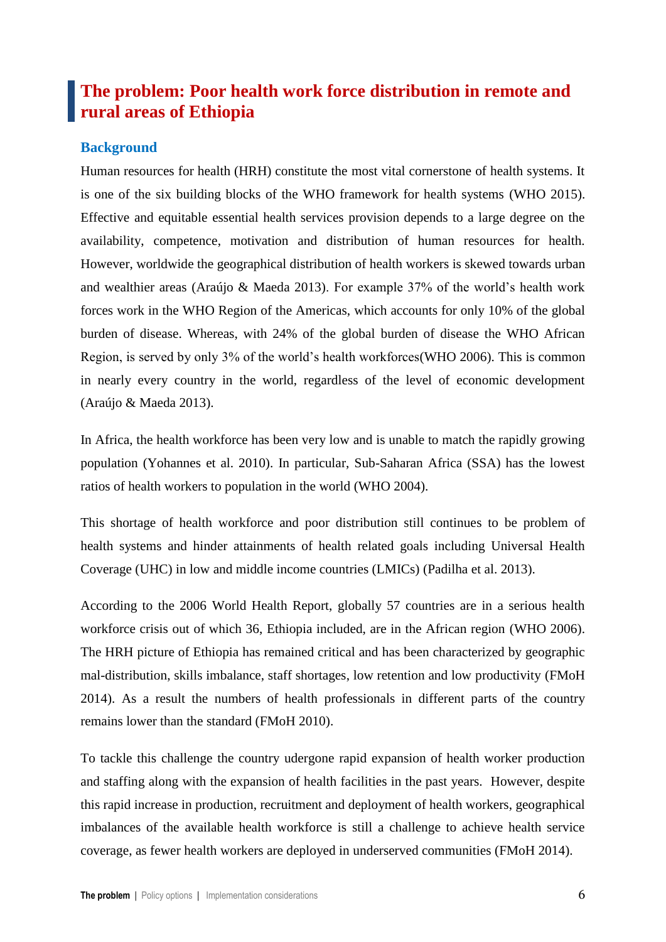# **The problem: Poor health work force distribution in remote and rural areas of Ethiopia**

### **Background**

Human resources for health (HRH) constitute the most vital cornerstone of health systems. It is one of the six building blocks of the WHO framework for health systems (WHO 2015). Effective and equitable essential health services provision depends to a large degree on the availability, competence, motivation and distribution of human resources for health. However, worldwide the geographical distribution of health workers is skewed towards urban and wealthier areas (Araújo & Maeda 2013). For example 37% of the world's health work forces work in the WHO Region of the Americas, which accounts for only 10% of the global burden of disease. Whereas, with 24% of the global burden of disease the WHO African Region, is served by only 3% of the world's health workforces(WHO 2006). This is common in nearly every country in the world, regardless of the level of economic development (Araújo & Maeda 2013).

In Africa, the health workforce has been very low and is unable to match the rapidly growing population (Yohannes et al. 2010). In particular, Sub-Saharan Africa (SSA) has the lowest ratios of health workers to population in the world (WHO 2004).

This shortage of health workforce and poor distribution still continues to be problem of health systems and hinder attainments of health related goals including Universal Health Coverage (UHC) in low and middle income countries (LMICs) (Padilha et al. 2013).

According to the 2006 World Health Report, globally 57 countries are in a serious health workforce crisis out of which 36, Ethiopia included, are in the African region (WHO 2006). The HRH picture of Ethiopia has remained critical and has been characterized by geographic mal-distribution, skills imbalance, staff shortages, low retention and low productivity (FMoH 2014). As a result the numbers of health professionals in different parts of the country remains lower than the standard (FMoH 2010).

To tackle this challenge the country udergone rapid expansion of health worker production and staffing along with the expansion of health facilities in the past years. However, despite this rapid increase in production, recruitment and deployment of health workers, geographical imbalances of the available health workforce is still a challenge to achieve health service coverage, as fewer health workers are deployed in underserved communities (FMoH 2014).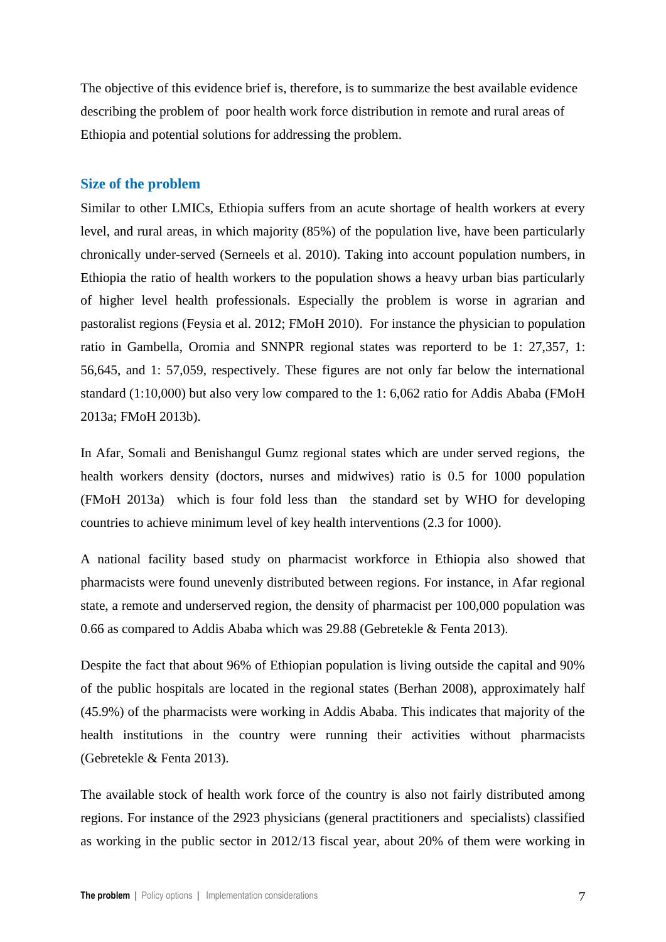The objective of this evidence brief is, therefore, is to summarize the best available evidence describing the problem of poor health work force distribution in remote and rural areas of Ethiopia and potential solutions for addressing the problem.

#### **Size of the problem**

Similar to other LMICs, Ethiopia suffers from an acute shortage of health workers at every level, and rural areas, in which majority (85%) of the population live, have been particularly chronically under-served (Serneels et al. 2010). Taking into account population numbers, in Ethiopia the ratio of health workers to the population shows a heavy urban bias particularly of higher level health professionals. Especially the problem is worse in agrarian and pastoralist regions (Feysia et al. 2012; FMoH 2010). For instance the physician to population ratio in Gambella, Oromia and SNNPR regional states was reporterd to be 1: 27,357, 1: 56,645, and 1: 57,059, respectively. These figures are not only far below the international standard (1:10,000) but also very low compared to the 1: 6,062 ratio for Addis Ababa (FMoH 2013a; FMoH 2013b).

In Afar, Somali and Benishangul Gumz regional states which are under served regions, the health workers density (doctors, nurses and midwives) ratio is 0.5 for 1000 population (FMoH 2013a) which is four fold less than the standard set by WHO for developing countries to achieve minimum level of key health interventions (2.3 for 1000).

A national facility based study on pharmacist workforce in Ethiopia also showed that pharmacists were found unevenly distributed between regions. For instance, in Afar regional state, a remote and underserved region, the density of pharmacist per 100,000 population was 0.66 as compared to Addis Ababa which was 29.88 (Gebretekle & Fenta 2013).

Despite the fact that about 96% of Ethiopian population is living outside the capital and 90% of the public hospitals are located in the regional states (Berhan 2008), approximately half (45.9%) of the pharmacists were working in Addis Ababa. This indicates that majority of the health institutions in the country were running their activities without pharmacists (Gebretekle & Fenta 2013).

The available stock of health work force of the country is also not fairly distributed among regions. For instance of the 2923 physicians (general practitioners and specialists) classified as working in the public sector in 2012/13 fiscal year, about 20% of them were working in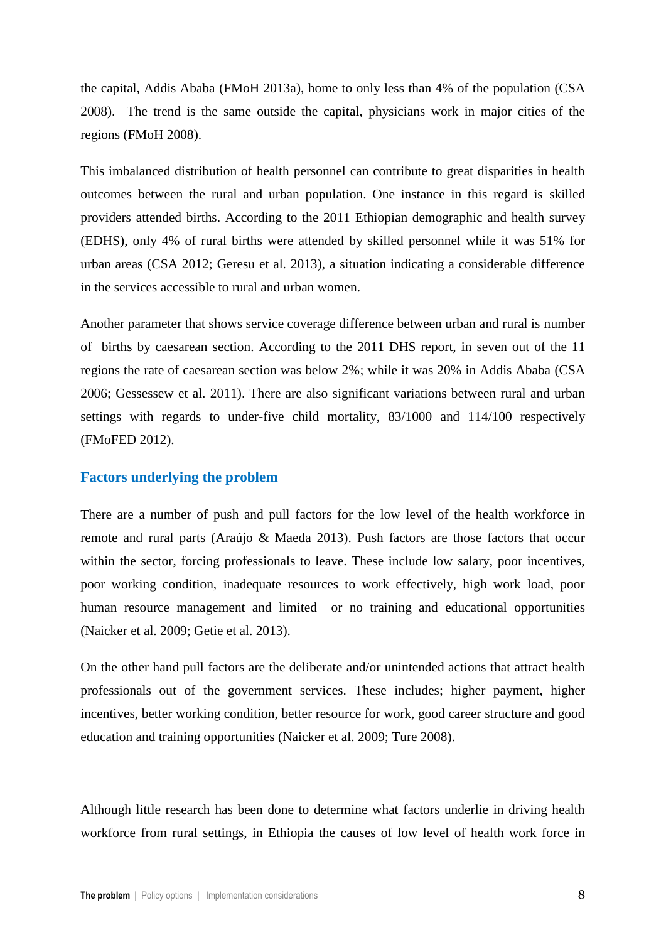the capital, Addis Ababa (FMoH 2013a), home to only less than 4% of the population (CSA 2008). The trend is the same outside the capital, physicians work in major cities of the regions (FMoH 2008).

This imbalanced distribution of health personnel can contribute to great disparities in health outcomes between the rural and urban population. One instance in this regard is skilled providers attended births. According to the 2011 Ethiopian demographic and health survey (EDHS), only 4% of rural births were attended by skilled personnel while it was 51% for urban areas (CSA 2012; Geresu et al. 2013), a situation indicating a considerable difference in the services accessible to rural and urban women.

Another parameter that shows service coverage difference between urban and rural is number of births by caesarean section. According to the 2011 DHS report, in seven out of the 11 regions the rate of caesarean section was below 2%; while it was 20% in Addis Ababa (CSA 2006; Gessessew et al. 2011). There are also significant variations between rural and urban settings with regards to under-five child mortality, 83/1000 and 114/100 respectively (FMoFED 2012).

#### **Factors underlying the problem**

There are a number of push and pull factors for the low level of the health workforce in remote and rural parts (Araújo & Maeda 2013). Push factors are those factors that occur within the sector, forcing professionals to leave. These include low salary, poor incentives, poor working condition, inadequate resources to work effectively, high work load, poor human resource management and limited or no training and educational opportunities (Naicker et al. 2009; Getie et al. 2013).

On the other hand pull factors are the deliberate and/or unintended actions that attract health professionals out of the government services. These includes; higher payment, higher incentives, better working condition, better resource for work, good career structure and good education and training opportunities (Naicker et al. 2009; Ture 2008).

Although little research has been done to determine what factors underlie in driving health workforce from rural settings, in Ethiopia the causes of low level of health work force in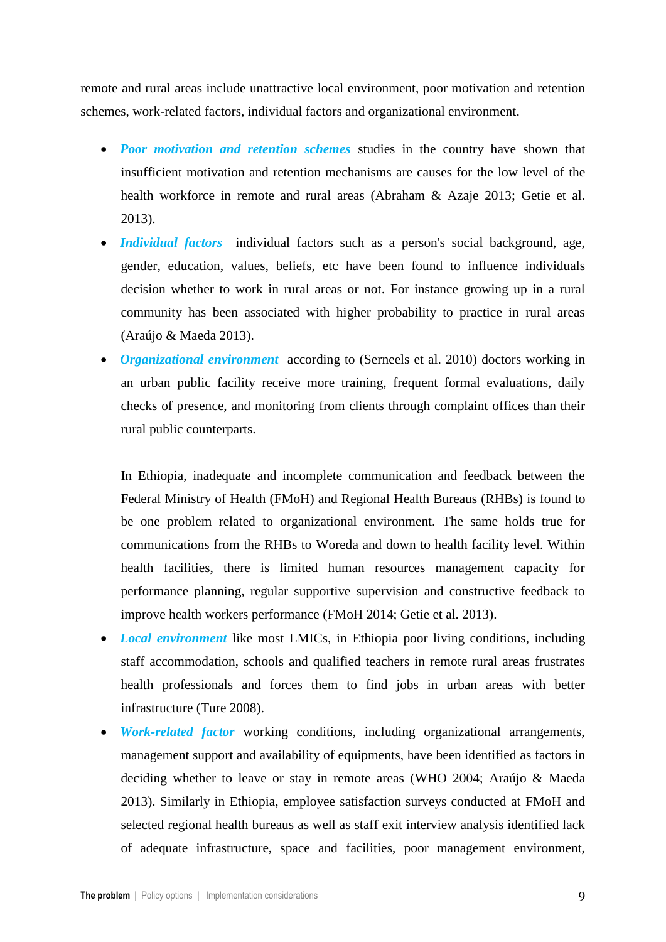remote and rural areas include unattractive local environment, poor motivation and retention schemes, work-related factors, individual factors and organizational environment.

- *Poor motivation and retention schemes* studies in the country have shown that insufficient motivation and retention mechanisms are causes for the low level of the health workforce in remote and rural areas (Abraham & Azaje 2013; Getie et al. 2013).
- *Individual factors* individual factors such as a person's social background, age, gender, education, values, beliefs, etc have been found to influence individuals decision whether to work in rural areas or not. For instance growing up in a rural community has been associated with higher probability to practice in rural areas (Araújo & Maeda 2013).
- *Organizational environment* according to (Serneels et al. 2010) doctors working in an urban public facility receive more training, frequent formal evaluations, daily checks of presence, and monitoring from clients through complaint offices than their rural public counterparts.

In Ethiopia, inadequate and incomplete communication and feedback between the Federal Ministry of Health (FMoH) and Regional Health Bureaus (RHBs) is found to be one problem related to organizational environment. The same holds true for communications from the RHBs to Woreda and down to health facility level. Within health facilities, there is limited human resources management capacity for performance planning, regular supportive supervision and constructive feedback to improve health workers performance (FMoH 2014; Getie et al. 2013).

- *Local environment* like most LMICs, in Ethiopia poor living conditions, including staff accommodation, schools and qualified teachers in remote rural areas frustrates health professionals and forces them to find jobs in urban areas with better infrastructure (Ture 2008).
- *Work-related factor* working conditions, including organizational arrangements, management support and availability of equipments, have been identified as factors in deciding whether to leave or stay in remote areas (WHO 2004; Araújo & Maeda 2013). Similarly in Ethiopia, employee satisfaction surveys conducted at FMoH and selected regional health bureaus as well as staff exit interview analysis identified lack of adequate infrastructure, space and facilities, poor management environment,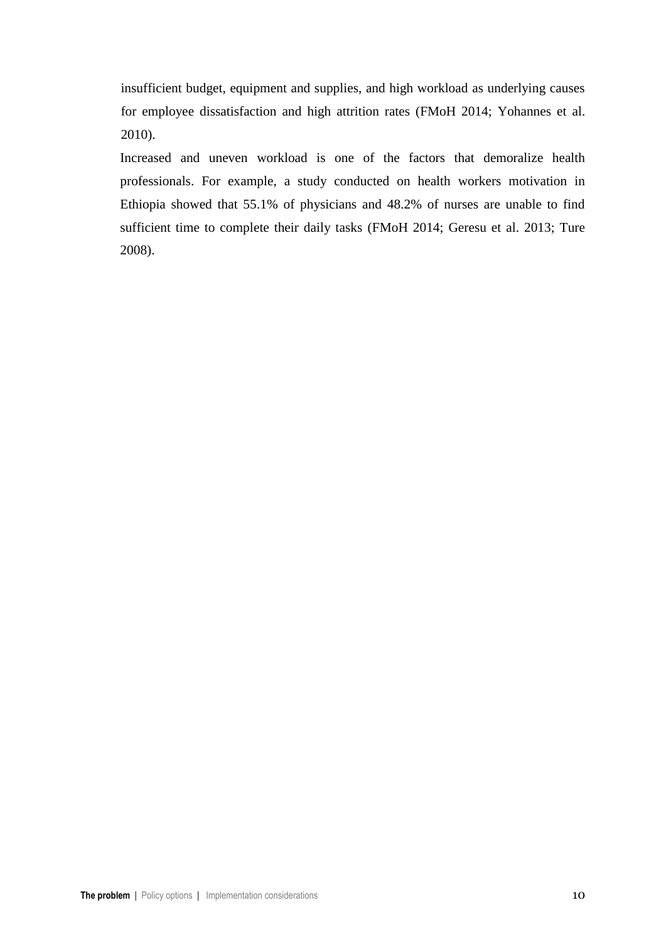insufficient budget, equipment and supplies, and high workload as underlying causes for employee dissatisfaction and high attrition rates (FMoH 2014; Yohannes et al. 2010).

Increased and uneven workload is one of the factors that demoralize health professionals. For example, a study conducted on health workers motivation in Ethiopia showed that 55.1% of physicians and 48.2% of nurses are unable to find sufficient time to complete their daily tasks (FMoH 2014; Geresu et al. 2013; Ture 2008).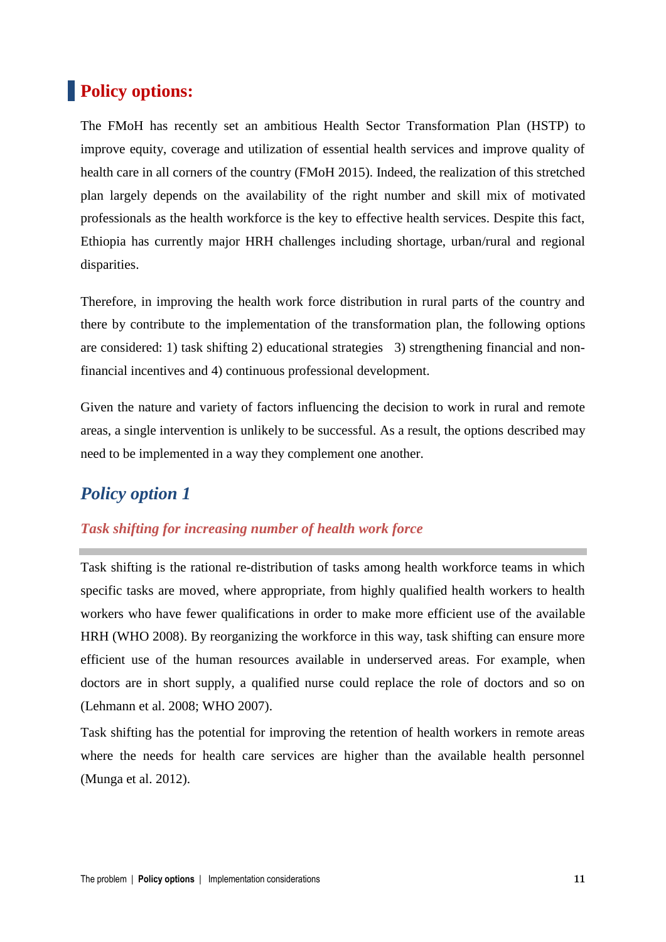# **Policy options:**

The FMoH has recently set an ambitious Health Sector Transformation Plan (HSTP) to improve equity, coverage and utilization of essential health services and improve quality of health care in all corners of the country (FMoH 2015). Indeed, the realization of this stretched plan largely depends on the availability of the right number and skill mix of motivated professionals as the health workforce is the key to effective health services. Despite this fact, Ethiopia has currently major HRH challenges including shortage, urban/rural and regional disparities.

Therefore, in improving the health work force distribution in rural parts of the country and there by contribute to the implementation of the transformation plan, the following options are considered: 1) task shifting 2) educational strategies 3) strengthening financial and nonfinancial incentives and 4) continuous professional development.

Given the nature and variety of factors influencing the decision to work in rural and remote areas, a single intervention is unlikely to be successful. As a result, the options described may need to be implemented in a way they complement one another.

# *Policy option 1*

### *Task shifting for increasing number of health work force*

Task shifting is the rational re-distribution of tasks among health workforce teams in which specific tasks are moved, where appropriate, from highly qualified health workers to health workers who have fewer qualifications in order to make more efficient use of the available HRH (WHO 2008). By reorganizing the workforce in this way, task shifting can ensure more efficient use of the human resources available in underserved areas. For example, when doctors are in short supply, a qualified nurse could replace the role of doctors and so on (Lehmann et al. 2008; WHO 2007).

Task shifting has the potential for improving the retention of health workers in remote areas where the needs for health care services are higher than the available health personnel (Munga et al. 2012).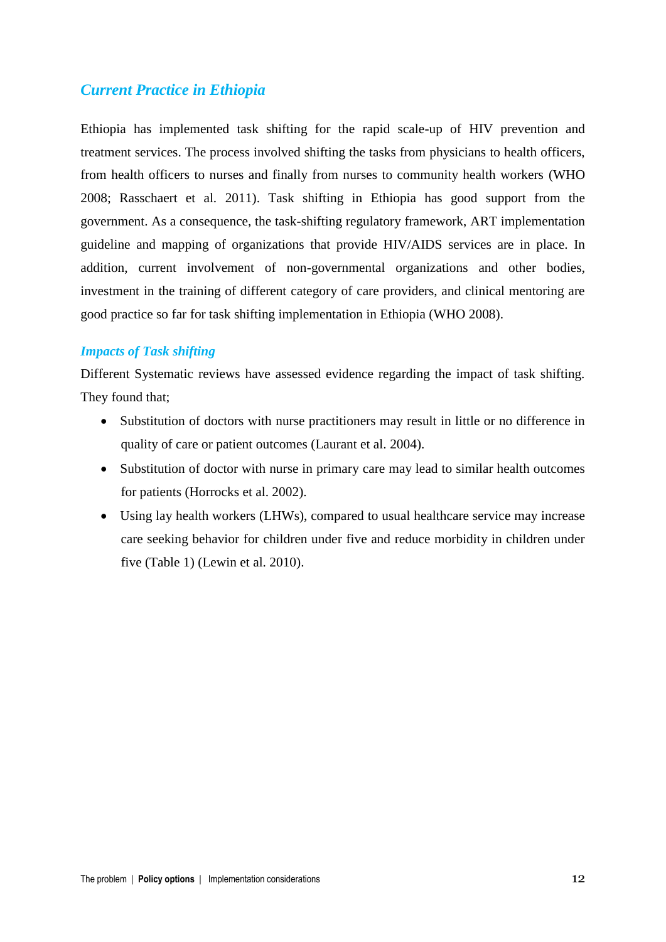# *Current Practice in Ethiopia*

Ethiopia has implemented task shifting for the rapid scale-up of HIV prevention and treatment services. The process involved shifting the tasks from physicians to health officers, from health officers to nurses and finally from nurses to community health workers (WHO 2008; Rasschaert et al. 2011). Task shifting in Ethiopia has good support from the government. As a consequence, the task-shifting regulatory framework, ART implementation guideline and mapping of organizations that provide HIV/AIDS services are in place. In addition, current involvement of non-governmental organizations and other bodies, investment in the training of different category of care providers, and clinical mentoring are good practice so far for task shifting implementation in Ethiopia (WHO 2008).

#### *Impacts of Task shifting*

Different Systematic reviews have assessed evidence regarding the impact of task shifting. They found that;

- Substitution of doctors with nurse practitioners may result in little or no difference in quality of care or patient outcomes (Laurant et al. 2004).
- Substitution of doctor with nurse in primary care may lead to similar health outcomes for patients (Horrocks et al. 2002).
- Using lay health workers (LHWs), compared to usual healthcare service may increase care seeking behavior for children under five and reduce morbidity in children under five (Table 1) (Lewin et al. 2010).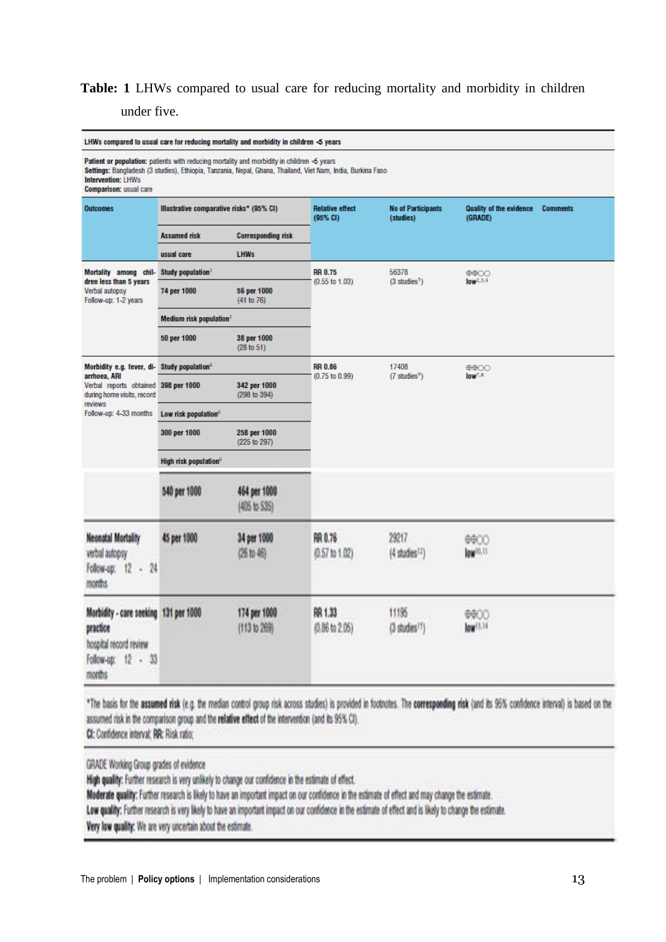# **Table: 1** LHWs compared to usual care for reducing mortality and morbidity in children

under five.

| LHWs compared to usual care for reducing mortality and morbidity in children $\blacktriangleleft$ years     |                                     |                                                                                                                                                                                                               |                                      |                                        |                                                              |  |
|-------------------------------------------------------------------------------------------------------------|-------------------------------------|---------------------------------------------------------------------------------------------------------------------------------------------------------------------------------------------------------------|--------------------------------------|----------------------------------------|--------------------------------------------------------------|--|
| <b>Intervention: LHWs</b><br><b>Comparison: usual care</b>                                                  |                                     | Patient or population: patients with reducing mortality and morbidity in children $\leq$ years<br>Settings: Bangladesh (3 studies), Ethiopia, Tanzania, Nepal, Ghana, Thailand, Viet Nam, India, Burkina Faso |                                      |                                        |                                                              |  |
| <b>Outcomes</b>                                                                                             |                                     | Illustrative comparative risks* (95% CI)                                                                                                                                                                      | <b>Relative effect</b><br>(95% CI)   | <b>No of Participants</b><br>(studies) | <b>Quality of the evidence</b><br><b>Comments</b><br>(GRADE) |  |
|                                                                                                             | <b>Assumed risk</b>                 | <b>Corresponding risk</b>                                                                                                                                                                                     |                                      |                                        |                                                              |  |
|                                                                                                             | usual care                          | <b>LHWs</b>                                                                                                                                                                                                   |                                      |                                        |                                                              |  |
| Mortality among chil-<br>dren less than 5 years                                                             | Study population <sup>1</sup>       |                                                                                                                                                                                                               | <b>RR 0.75</b>                       | 56378                                  | $\oplus$ $\oplus$<br>low <sup>2,3,4</sup>                    |  |
| Verbal autopsy<br>Follow-up: 1-2 years                                                                      | 74 per 1000                         | 56 per 1000<br>(41 to 76)                                                                                                                                                                                     | $(0.55$ to $1.03)$                   | $(3 \text{ studies}^5)$                |                                                              |  |
|                                                                                                             | Medium risk population <sup>1</sup> |                                                                                                                                                                                                               |                                      |                                        |                                                              |  |
|                                                                                                             | 50 per 1000                         | 38 per 1000<br>(28 to 51)                                                                                                                                                                                     |                                      |                                        |                                                              |  |
| Morbidity e.g. fever, di-<br>arrhoea, ARI                                                                   | Study population <sup>6</sup>       |                                                                                                                                                                                                               | <b>RR 0.86</b><br>(0.75 to 0.99)     | 17408<br>$(7 \text{ studies}^9)$       | $\oplus$ $\oplus$<br>low <sup>7,8</sup>                      |  |
| Verbal reports obtained 398 per 1000<br>during home visits, record<br>reviews                               |                                     | 342 per 1000<br>(298 to 394)                                                                                                                                                                                  |                                      |                                        |                                                              |  |
| Follow-up: 4-33 months                                                                                      | Low risk population <sup>6</sup>    |                                                                                                                                                                                                               |                                      |                                        |                                                              |  |
|                                                                                                             | 300 per 1000                        | 258 per 1000<br>(225 to 297)                                                                                                                                                                                  |                                      |                                        |                                                              |  |
|                                                                                                             | High risk population <sup>6</sup>   |                                                                                                                                                                                                               |                                      |                                        |                                                              |  |
|                                                                                                             | 540 per 1000                        | 464 per 1000<br>(405 to 535)                                                                                                                                                                                  |                                      |                                        |                                                              |  |
| <b>Neonatal Mortality</b><br>verbal autopsy<br>Follow-up: 12 - 24<br>months                                 | 45 per 1000                         | 34 per 1000<br>(26 to 46)                                                                                                                                                                                     | RR 0.76<br>(0.57 to 1.02)            | 29217<br>$(4$ studies $12)$            | 0000<br>low <sup>10</sup> ,11                                |  |
| Morbidity - care seeking 131 per 1000<br>practice<br>hospital record review<br>Follow-up: 12 - 33<br>months |                                     | 174 per 1000<br>(113 to 269)                                                                                                                                                                                  | RR 1.33<br>$(0.86 \text{ to } 2.05)$ | 11195<br>$(3$ studies $^{15})$         | ⊕⊕⊙⊖<br>low <sup>13,34</sup>                                 |  |

\*The basis for the assumed risk (e.g. the median control group risk across studies) is provided in footnotes. The corresponding risk (and its 95% confidence interval) is based on the assumed risk in the comparison group and the relative effect of the intervention (and its 95% CI). CI: Confidence interval; RR: Risk ratio;

GRADE Working Group grades of evidence

High quality: Further research is very unlikely to change our confidence in the estimate of effect.

Moderate quality: Further research is likely to have an important impact on our confidence in the estimate of effect and may change the estimate.

Low quality: Further research is very likely to have an important impact on our confidence in the estimate of effect and is likely to change the estimate.

Very low quality: We are very uncertain about the estimate.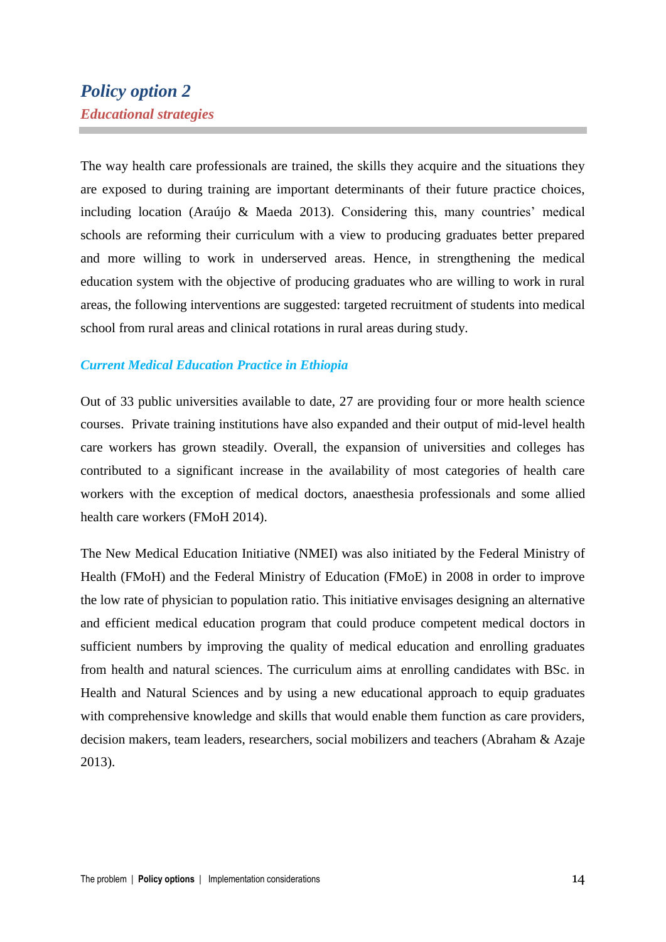# *Policy option 2 Educational strategies*

The way health care professionals are trained, the skills they acquire and the situations they are exposed to during training are important determinants of their future practice choices, including location (Araújo & Maeda 2013). Considering this, many countries' medical schools are reforming their curriculum with a view to producing graduates better prepared and more willing to work in underserved areas. Hence, in strengthening the medical education system with the objective of producing graduates who are willing to work in rural areas, the following interventions are suggested: targeted recruitment of students into medical school from rural areas and clinical rotations in rural areas during study.

#### *Current Medical Education Practice in Ethiopia*

Out of 33 public universities available to date, 27 are providing four or more health science courses. Private training institutions have also expanded and their output of mid-level health care workers has grown steadily. Overall, the expansion of universities and colleges has contributed to a significant increase in the availability of most categories of health care workers with the exception of medical doctors, anaesthesia professionals and some allied health care workers (FMoH 2014).

The New Medical Education Initiative (NMEI) was also initiated by the Federal Ministry of Health (FMoH) and the Federal Ministry of Education (FMoE) in 2008 in order to improve the low rate of physician to population ratio. This initiative envisages designing an alternative and efficient medical education program that could produce competent medical doctors in sufficient numbers by improving the quality of medical education and enrolling graduates from health and natural sciences. The curriculum aims at enrolling candidates with BSc. in Health and Natural Sciences and by using a new educational approach to equip graduates with comprehensive knowledge and skills that would enable them function as care providers, decision makers, team leaders, researchers, social mobilizers and teachers (Abraham & Azaje 2013).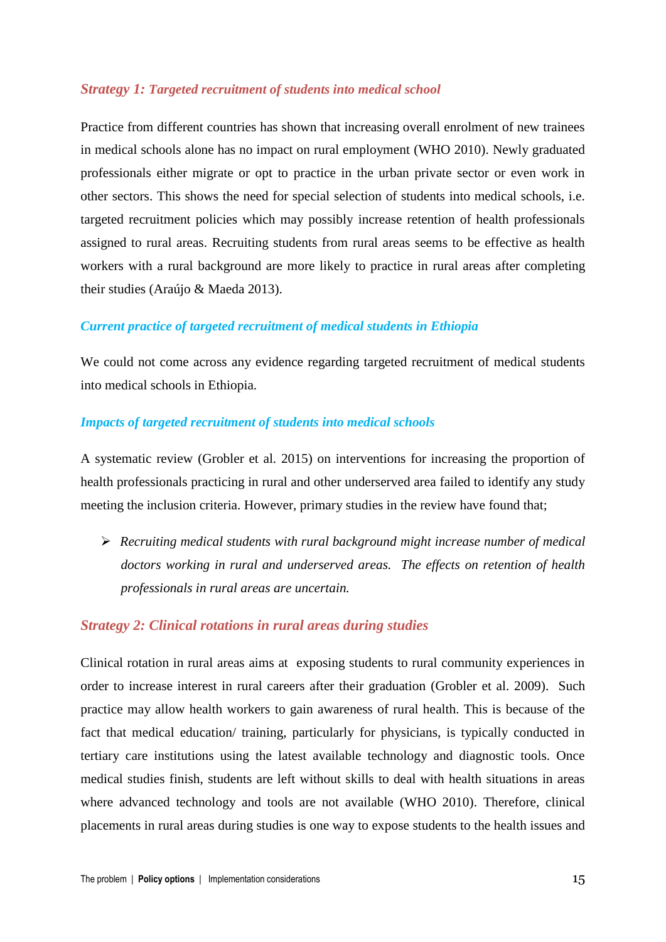#### *Strategy 1: Targeted recruitment of students into medical school*

Practice from different countries has shown that increasing overall enrolment of new trainees in medical schools alone has no impact on rural employment (WHO 2010). Newly graduated professionals either migrate or opt to practice in the urban private sector or even work in other sectors. This shows the need for special selection of students into medical schools, i.e. targeted recruitment policies which may possibly increase retention of health professionals assigned to rural areas. Recruiting students from rural areas seems to be effective as health workers with a rural background are more likely to practice in rural areas after completing their studies (Araújo & Maeda 2013).

#### *Current practice of targeted recruitment of medical students in Ethiopia*

We could not come across any evidence regarding targeted recruitment of medical students into medical schools in Ethiopia.

#### *Impacts of targeted recruitment of students into medical schools*

A systematic review (Grobler et al. 2015) on interventions for increasing the proportion of health professionals practicing in rural and other underserved area failed to identify any study meeting the inclusion criteria. However, primary studies in the review have found that;

 *Recruiting medical students with rural background might increase number of medical doctors working in rural and underserved areas. The effects on retention of health professionals in rural areas are uncertain.*

#### *Strategy 2: Clinical rotations in rural areas during studies*

Clinical rotation in rural areas aims at exposing students to rural community experiences in order to increase interest in rural careers after their graduation (Grobler et al. 2009). Such practice may allow health workers to gain awareness of rural health. This is because of the fact that medical education/ training, particularly for physicians, is typically conducted in tertiary care institutions using the latest available technology and diagnostic tools. Once medical studies finish, students are left without skills to deal with health situations in areas where advanced technology and tools are not available (WHO 2010). Therefore, clinical placements in rural areas during studies is one way to expose students to the health issues and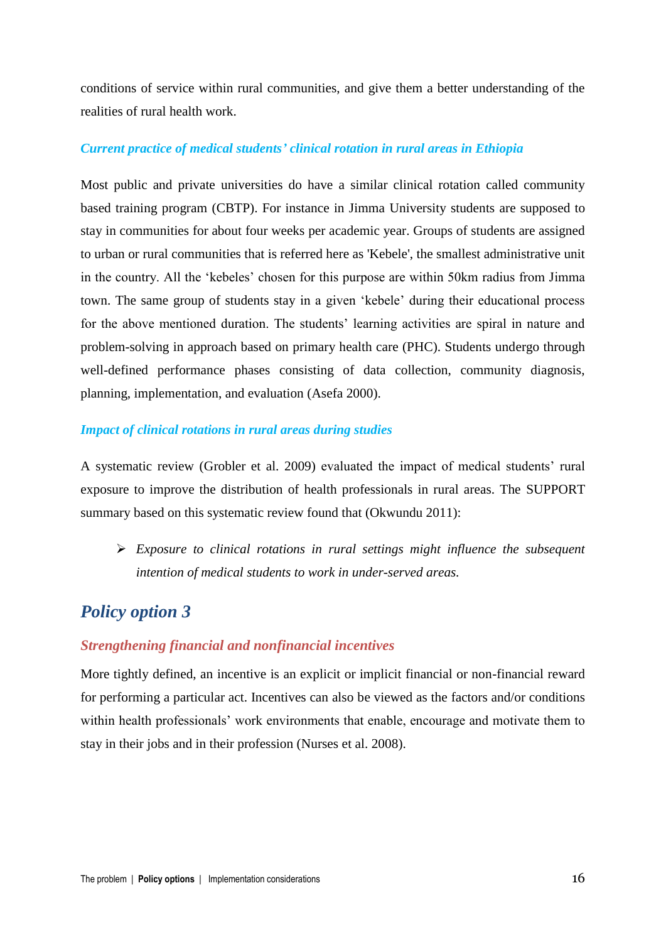conditions of service within rural communities, and give them a better understanding of the realities of rural health work.

#### *Current practice of medical students' clinical rotation in rural areas in Ethiopia*

Most public and private universities do have a similar clinical rotation called community based training program (CBTP). For instance in Jimma University students are supposed to stay in communities for about four weeks per academic year. Groups of students are assigned to urban or rural communities that is referred here as 'Kebele', the smallest administrative unit in the country. All the 'kebeles' chosen for this purpose are within 50km radius from Jimma town. The same group of students stay in a given 'kebele' during their educational process for the above mentioned duration. The students' learning activities are spiral in nature and problem-solving in approach based on primary health care (PHC). Students undergo through well-defined performance phases consisting of data collection, community diagnosis, planning, implementation, and evaluation (Asefa 2000).

#### *Impact of clinical rotations in rural areas during studies*

A systematic review (Grobler et al. 2009) evaluated the impact of medical students' rural exposure to improve the distribution of health professionals in rural areas. The SUPPORT summary based on this systematic review found that (Okwundu 2011):

 *Exposure to clinical rotations in rural settings might influence the subsequent intention of medical students to work in under-served areas.*

# *Policy option 3*

#### *Strengthening financial and nonfinancial incentives*

More tightly defined, an incentive is an explicit or implicit financial or non-financial reward for performing a particular act. Incentives can also be viewed as the factors and/or conditions within health professionals' work environments that enable, encourage and motivate them to stay in their jobs and in their profession (Nurses et al. 2008).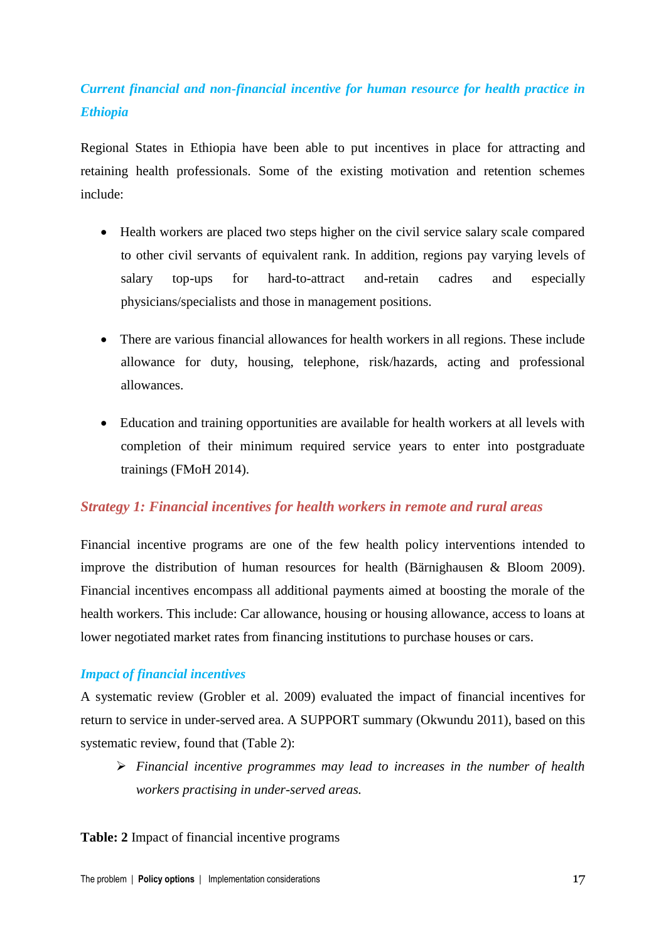# *Current financial and non-financial incentive for human resource for health practice in Ethiopia*

Regional States in Ethiopia have been able to put incentives in place for attracting and retaining health professionals. Some of the existing motivation and retention schemes include:

- Health workers are placed two steps higher on the civil service salary scale compared to other civil servants of equivalent rank. In addition, regions pay varying levels of salary top-ups for hard-to-attract and-retain cadres and especially physicians/specialists and those in management positions.
- There are various financial allowances for health workers in all regions. These include allowance for duty, housing, telephone, risk/hazards, acting and professional allowances.
- Education and training opportunities are available for health workers at all levels with completion of their minimum required service years to enter into postgraduate trainings (FMoH 2014).

### *Strategy 1: Financial incentives for health workers in remote and rural areas*

Financial incentive programs are one of the few health policy interventions intended to improve the distribution of human resources for health (Bärnighausen & Bloom 2009). Financial incentives encompass all additional payments aimed at boosting the morale of the health workers. This include: Car allowance, housing or housing allowance, access to loans at lower negotiated market rates from financing institutions to purchase houses or cars.

### *Impact of financial incentives*

A systematic review (Grobler et al. 2009) evaluated the impact of financial incentives for return to service in under-served area. A SUPPORT summary (Okwundu 2011), based on this systematic review, found that (Table 2):

 *Financial incentive programmes may lead to increases in the number of health workers practising in under-served areas.* 

#### **Table: 2** Impact of financial incentive programs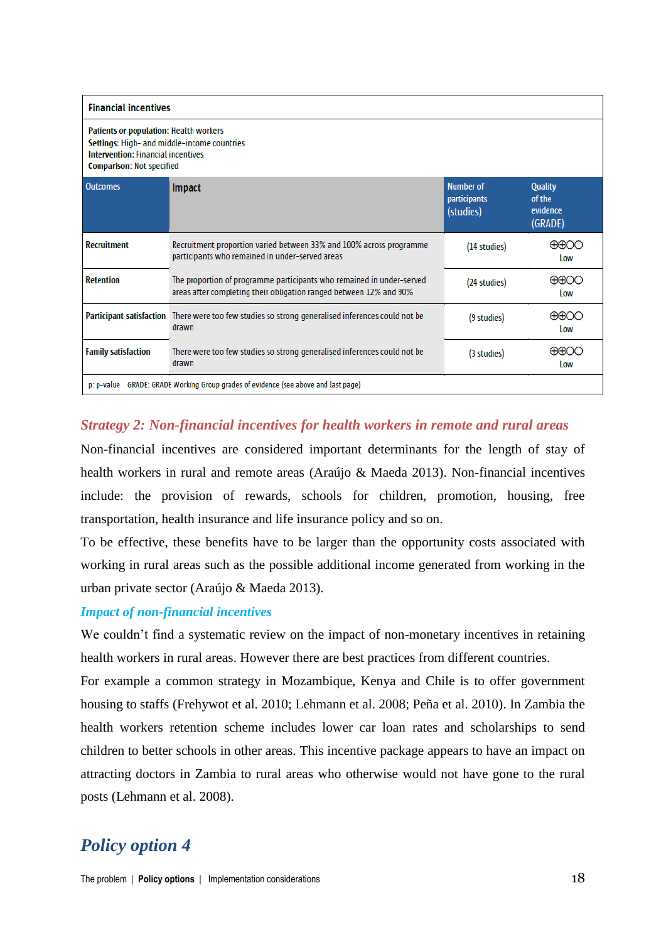| <b>Financial incentives</b>                                                                                                                                                   |                                                                                                                                             |                                                      |                                                 |
|-------------------------------------------------------------------------------------------------------------------------------------------------------------------------------|---------------------------------------------------------------------------------------------------------------------------------------------|------------------------------------------------------|-------------------------------------------------|
| <b>Patients or population: Health workers</b><br>Settings: High- and middle-income countries<br><b>Intervention: Financial incentives</b><br><b>Comparison: Not specified</b> |                                                                                                                                             |                                                      |                                                 |
| <b>Outcomes</b>                                                                                                                                                               | <b>Impact</b>                                                                                                                               | <b>Number of</b><br><b>participants</b><br>(studies) | <b>Quality</b><br>of the<br>evidence<br>(GRADE) |
| <b>Recruitment</b>                                                                                                                                                            | Recruitment proportion varied between 33% and 100% across programme<br>participants who remained in under-served areas                      | (14 studies)                                         | $\oplus\oplus\bigcirc\bigcirc$<br><b>Low</b>    |
| <b>Retention</b>                                                                                                                                                              | The proportion of programme participants who remained in under-served<br>areas after completing their obligation ranged between 12% and 90% | (24 studies)                                         | $\oplus\oplus$ OO<br><b>Low</b>                 |
|                                                                                                                                                                               | Participant satisfaction There were too few studies so strong generalised inferences could not be<br>drawn                                  | (9 studies)                                          | ⊕⊕○○<br>Low                                     |
| <b>Family satisfaction</b>                                                                                                                                                    | There were too few studies so strong generalised inferences could not be<br>drawn                                                           | (3 studies)                                          | $\oplus \oplus \oplus C$<br>Low                 |
| p: p-value GRADE: GRADE Working Group grades of evidence (see above and last page)                                                                                            |                                                                                                                                             |                                                      |                                                 |

### *Strategy 2: Non-financial incentives for health workers in remote and rural areas*

Non-financial incentives are considered important determinants for the length of stay of health workers in rural and remote areas (Araújo & Maeda 2013). Non-financial incentives include: the provision of rewards, schools for children, promotion, housing, free transportation, health insurance and life insurance policy and so on.

To be effective, these benefits have to be larger than the opportunity costs associated with working in rural areas such as the possible additional income generated from working in the urban private sector (Araújo & Maeda 2013).

### *Impact of non-financial incentives*

We couldn't find a systematic review on the impact of non-monetary incentives in retaining health workers in rural areas. However there are best practices from different countries.

For example a common strategy in Mozambique, Kenya and Chile is to offer government housing to staffs (Frehywot et al. 2010; Lehmann et al. 2008; Peña et al. 2010). In Zambia the health workers retention scheme includes lower car loan rates and scholarships to send children to better schools in other areas. This incentive package appears to have an impact on attracting doctors in Zambia to rural areas who otherwise would not have gone to the rural posts (Lehmann et al. 2008).

# *Policy option 4*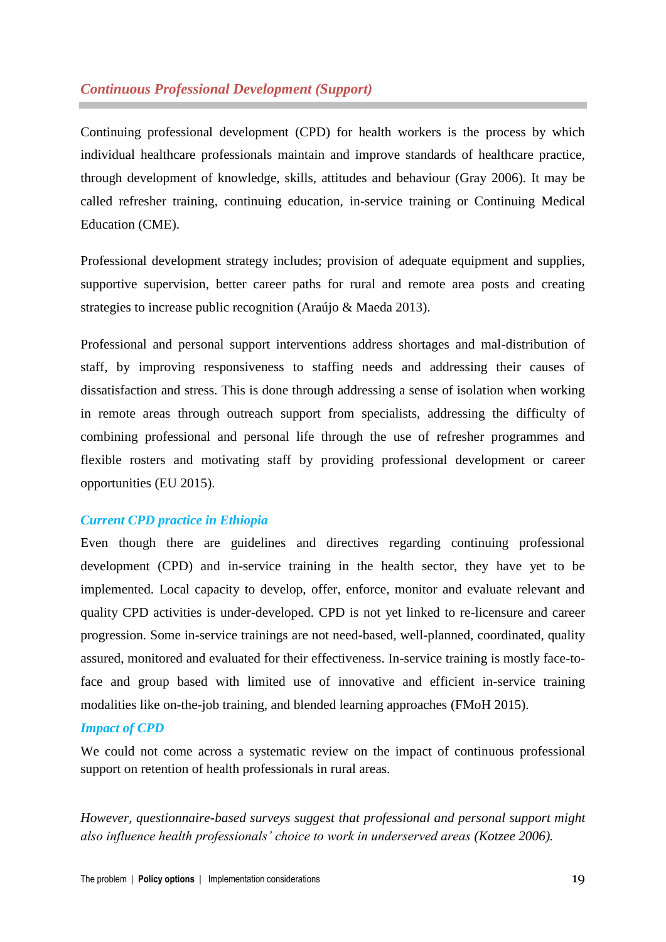### *Continuous Professional Development (Support)*

Continuing professional development (CPD) for health workers is the process by which individual healthcare professionals maintain and improve standards of healthcare practice, through development of knowledge, skills, attitudes and behaviour (Gray 2006). It may be called refresher training, continuing education, in-service training or Continuing Medical Education (CME).

Professional development strategy includes; provision of adequate equipment and supplies, supportive supervision, better career paths for rural and remote area posts and creating strategies to increase public recognition (Araújo & Maeda 2013).

Professional and personal support interventions address shortages and mal-distribution of staff, by improving responsiveness to staffing needs and addressing their causes of dissatisfaction and stress. This is done through addressing a sense of isolation when working in remote areas through outreach support from specialists, addressing the difficulty of combining professional and personal life through the use of refresher programmes and flexible rosters and motivating staff by providing professional development or career opportunities (EU 2015).

#### *Current CPD practice in Ethiopia*

Even though there are guidelines and directives regarding continuing professional development (CPD) and in-service training in the health sector, they have yet to be implemented. Local capacity to develop, offer, enforce, monitor and evaluate relevant and quality CPD activities is under-developed. CPD is not yet linked to re-licensure and career progression. Some in-service trainings are not need-based, well-planned, coordinated, quality assured, monitored and evaluated for their effectiveness. In-service training is mostly face-toface and group based with limited use of innovative and efficient in-service training modalities like on-the-job training, and blended learning approaches (FMoH 2015).

#### *Impact of CPD*

We could not come across a systematic review on the impact of continuous professional support on retention of health professionals in rural areas.

*However, questionnaire-based surveys suggest that professional and personal support might also influence health professionals' choice to work in underserved areas (Kotzee 2006).*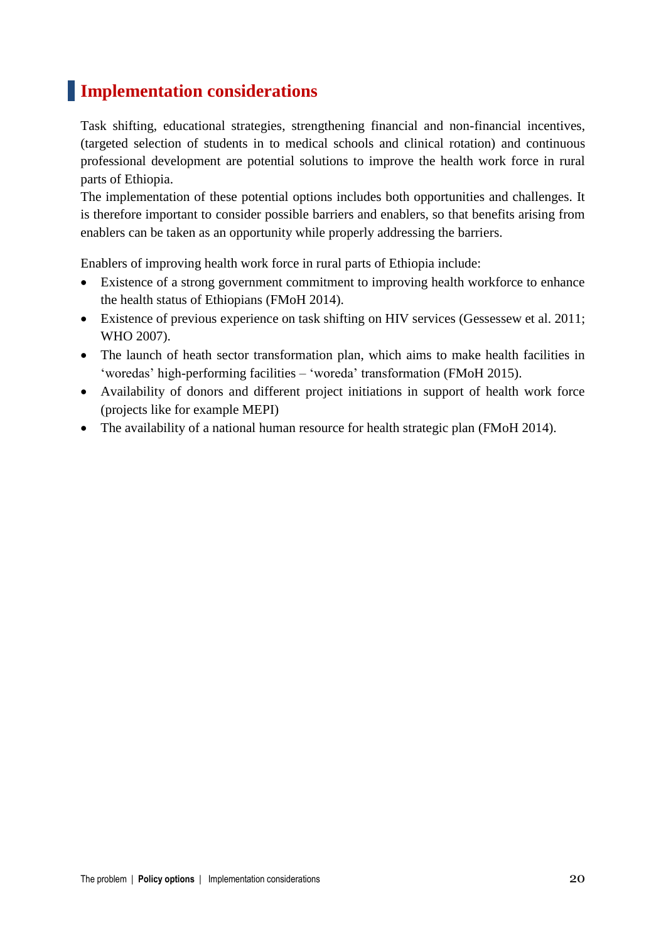# **Implementation considerations**

Task shifting, educational strategies, strengthening financial and non-financial incentives, (targeted selection of students in to medical schools and clinical rotation) and continuous professional development are potential solutions to improve the health work force in rural parts of Ethiopia.

The implementation of these potential options includes both opportunities and challenges. It is therefore important to consider possible barriers and enablers, so that benefits arising from enablers can be taken as an opportunity while properly addressing the barriers.

Enablers of improving health work force in rural parts of Ethiopia include:

- Existence of a strong government commitment to improving health workforce to enhance the health status of Ethiopians (FMoH 2014).
- Existence of previous experience on task shifting on HIV services (Gessessew et al. 2011; WHO 2007).
- The launch of heath sector transformation plan, which aims to make health facilities in 'woredas' high-performing facilities – 'woreda' transformation (FMoH 2015).
- Availability of donors and different project initiations in support of health work force (projects like for example MEPI)
- The availability of a national human resource for health strategic plan (FMoH 2014).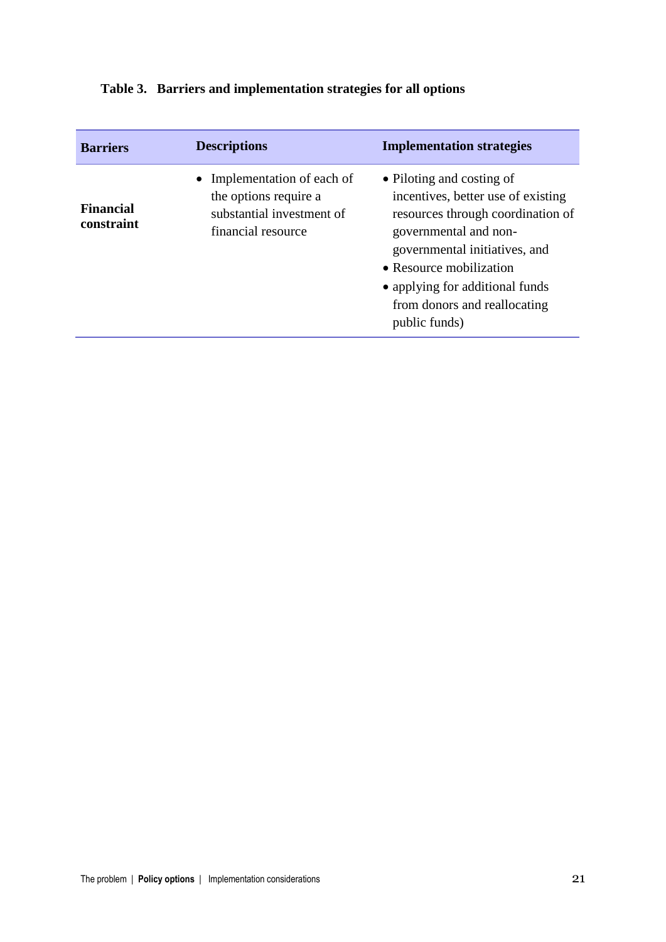| <b>Barriers</b>                | <b>Descriptions</b>                                                                                     | <b>Implementation strategies</b>                                                                                                                                                                                                                                              |
|--------------------------------|---------------------------------------------------------------------------------------------------------|-------------------------------------------------------------------------------------------------------------------------------------------------------------------------------------------------------------------------------------------------------------------------------|
| <b>Financial</b><br>constraint | • Implementation of each of<br>the options require a<br>substantial investment of<br>financial resource | • Piloting and costing of<br>incentives, better use of existing<br>resources through coordination of<br>governmental and non-<br>governmental initiatives, and<br>• Resource mobilization<br>• applying for additional funds<br>from donors and reallocating<br>public funds) |

# **Table 3. Barriers and implementation strategies for all options**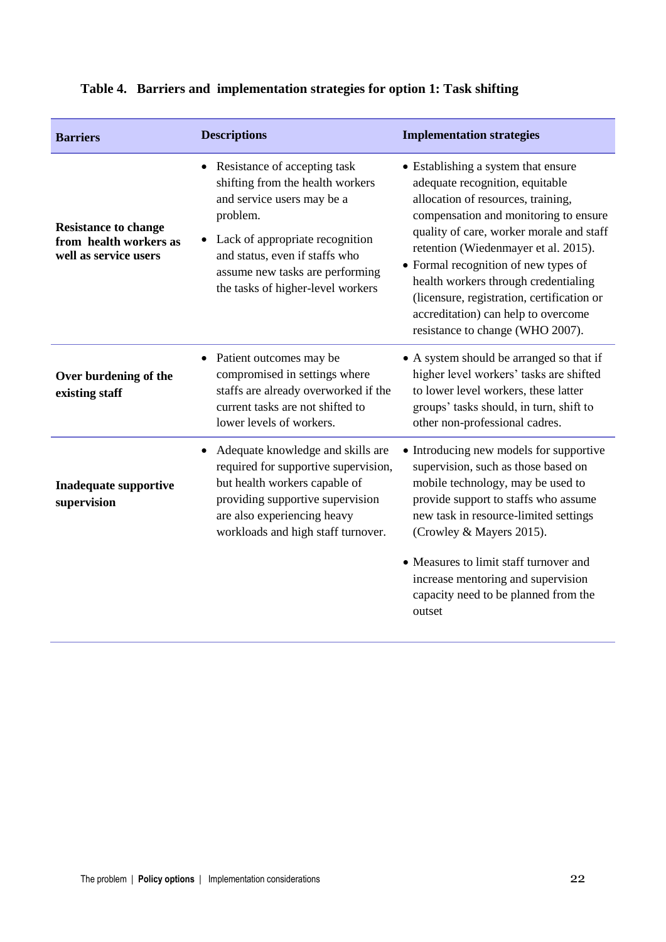| <b>Barriers</b>                                                                | <b>Descriptions</b>                                                                                                                                                                                                                                       | <b>Implementation strategies</b>                                                                                                                                                                                                                                                                                                                                                                                                                   |
|--------------------------------------------------------------------------------|-----------------------------------------------------------------------------------------------------------------------------------------------------------------------------------------------------------------------------------------------------------|----------------------------------------------------------------------------------------------------------------------------------------------------------------------------------------------------------------------------------------------------------------------------------------------------------------------------------------------------------------------------------------------------------------------------------------------------|
| <b>Resistance to change</b><br>from health workers as<br>well as service users | • Resistance of accepting task<br>shifting from the health workers<br>and service users may be a<br>problem.<br>Lack of appropriate recognition<br>and status, even if staffs who<br>assume new tasks are performing<br>the tasks of higher-level workers | • Establishing a system that ensure<br>adequate recognition, equitable<br>allocation of resources, training,<br>compensation and monitoring to ensure<br>quality of care, worker morale and staff<br>retention (Wiedenmayer et al. 2015).<br>• Formal recognition of new types of<br>health workers through credentialing<br>(licensure, registration, certification or<br>accreditation) can help to overcome<br>resistance to change (WHO 2007). |
| Over burdening of the<br>existing staff                                        | • Patient outcomes may be<br>compromised in settings where<br>staffs are already overworked if the<br>current tasks are not shifted to<br>lower levels of workers.                                                                                        | • A system should be arranged so that if<br>higher level workers' tasks are shifted<br>to lower level workers, these latter<br>groups' tasks should, in turn, shift to<br>other non-professional cadres.                                                                                                                                                                                                                                           |
| <b>Inadequate supportive</b><br>supervision                                    | Adequate knowledge and skills are<br>٠<br>required for supportive supervision,<br>but health workers capable of<br>providing supportive supervision<br>are also experiencing heavy<br>workloads and high staff turnover.                                  | • Introducing new models for supportive<br>supervision, such as those based on<br>mobile technology, may be used to<br>provide support to staffs who assume<br>new task in resource-limited settings<br>(Crowley & Mayers 2015).<br>• Measures to limit staff turnover and                                                                                                                                                                         |
|                                                                                |                                                                                                                                                                                                                                                           | increase mentoring and supervision<br>capacity need to be planned from the<br>outset                                                                                                                                                                                                                                                                                                                                                               |

# **Table 4. Barriers and implementation strategies for option 1: Task shifting**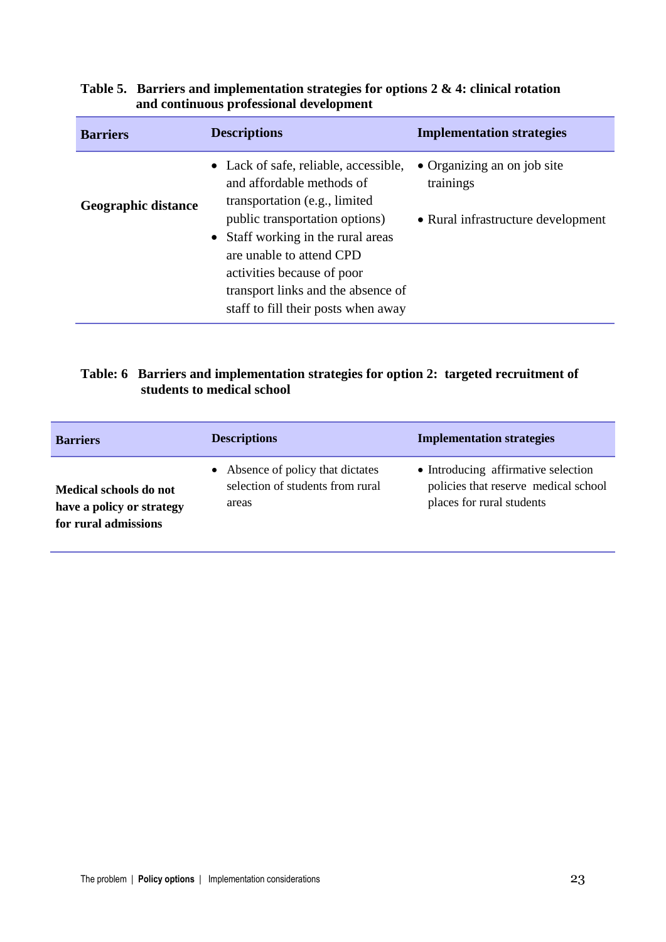| <b>Barriers</b>            | <b>Descriptions</b>                                                                                                                                                                                                                                                                                                 | <b>Implementation strategies</b>                                               |
|----------------------------|---------------------------------------------------------------------------------------------------------------------------------------------------------------------------------------------------------------------------------------------------------------------------------------------------------------------|--------------------------------------------------------------------------------|
| <b>Geographic distance</b> | • Lack of safe, reliable, accessible,<br>and affordable methods of<br>transportation (e.g., limited)<br>public transportation options)<br>• Staff working in the rural areas<br>are unable to attend CPD<br>activities because of poor<br>transport links and the absence of<br>staff to fill their posts when away | • Organizing an on job site<br>trainings<br>• Rural infrastructure development |

### **Table 5. Barriers and implementation strategies for options 2 & 4: clinical rotation and continuous professional development**

### **Table: 6 Barriers and implementation strategies for option 2: targeted recruitment of students to medical school**

| <b>Barriers</b>           | <b>Descriptions</b>               | <b>Implementation strategies</b>     |
|---------------------------|-----------------------------------|--------------------------------------|
| Medical schools do not    | • Absence of policy that dictates | • Introducing affirmative selection  |
| have a policy or strategy | selection of students from rural  | policies that reserve medical school |
| for rural admissions      | areas                             | places for rural students            |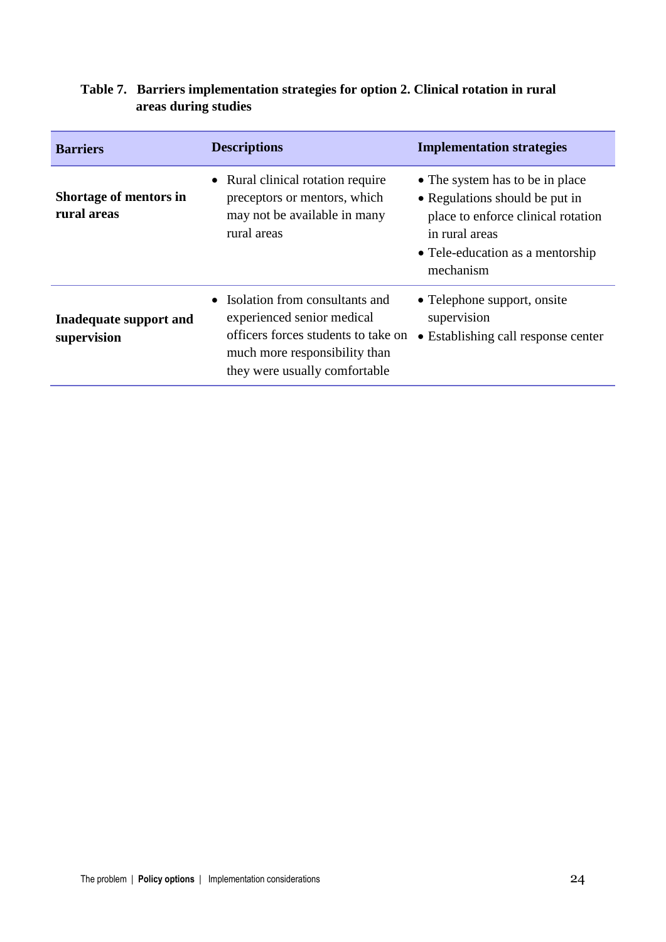| <b>Barriers</b>                       | <b>Descriptions</b>                                                                                                                                                     | <b>Implementation strategies</b>                                                                                                                                           |
|---------------------------------------|-------------------------------------------------------------------------------------------------------------------------------------------------------------------------|----------------------------------------------------------------------------------------------------------------------------------------------------------------------------|
| Shortage of mentors in<br>rural areas | • Rural clinical rotation require<br>preceptors or mentors, which<br>may not be available in many<br>rural areas                                                        | • The system has to be in place<br>• Regulations should be put in<br>place to enforce clinical rotation<br>in rural areas<br>• Tele-education as a mentorship<br>mechanism |
| Inadequate support and<br>supervision | • Isolation from consultants and<br>experienced senior medical<br>officers forces students to take on<br>much more responsibility than<br>they were usually comfortable | • Telephone support, onsite<br>supervision<br>• Establishing call response center                                                                                          |

### **Table 7. Barriers implementation strategies for option 2. Clinical rotation in rural areas during studies**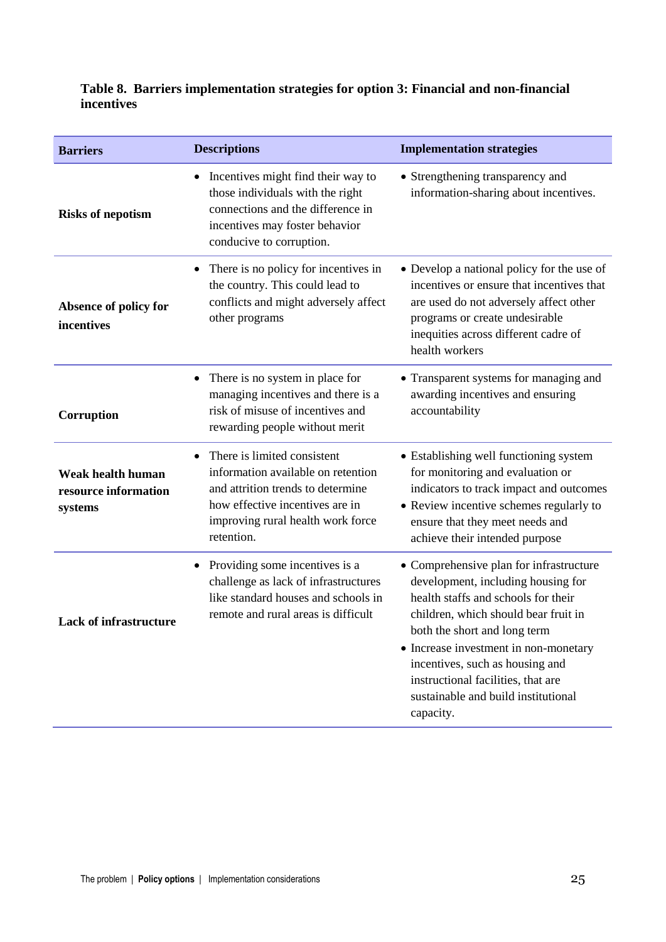### **Table 8. Barriers implementation strategies for option 3: Financial and non-financial incentives**

| <b>Barriers</b>                                             | <b>Descriptions</b>                                                                                                                                                                          | <b>Implementation strategies</b>                                                                                                                                                                                                                                                                                                                                   |
|-------------------------------------------------------------|----------------------------------------------------------------------------------------------------------------------------------------------------------------------------------------------|--------------------------------------------------------------------------------------------------------------------------------------------------------------------------------------------------------------------------------------------------------------------------------------------------------------------------------------------------------------------|
| <b>Risks of nepotism</b>                                    | Incentives might find their way to<br>$\bullet$<br>those individuals with the right<br>connections and the difference in<br>incentives may foster behavior<br>conducive to corruption.       | • Strengthening transparency and<br>information-sharing about incentives.                                                                                                                                                                                                                                                                                          |
| Absence of policy for<br>incentives                         | There is no policy for incentives in<br>٠<br>the country. This could lead to<br>conflicts and might adversely affect<br>other programs                                                       | • Develop a national policy for the use of<br>incentives or ensure that incentives that<br>are used do not adversely affect other<br>programs or create undesirable<br>inequities across different cadre of<br>health workers                                                                                                                                      |
| Corruption                                                  | There is no system in place for<br>$\bullet$<br>managing incentives and there is a<br>risk of misuse of incentives and<br>rewarding people without merit                                     | • Transparent systems for managing and<br>awarding incentives and ensuring<br>accountability                                                                                                                                                                                                                                                                       |
| <b>Weak health human</b><br>resource information<br>systems | There is limited consistent<br>information available on retention<br>and attrition trends to determine<br>how effective incentives are in<br>improving rural health work force<br>retention. | • Establishing well functioning system<br>for monitoring and evaluation or<br>indicators to track impact and outcomes<br>• Review incentive schemes regularly to<br>ensure that they meet needs and<br>achieve their intended purpose                                                                                                                              |
| <b>Lack of infrastructure</b>                               | Providing some incentives is a<br>٠<br>challenge as lack of infrastructures<br>like standard houses and schools in<br>remote and rural areas is difficult                                    | • Comprehensive plan for infrastructure<br>development, including housing for<br>health staffs and schools for their<br>children, which should bear fruit in<br>both the short and long term<br>• Increase investment in non-monetary<br>incentives, such as housing and<br>instructional facilities, that are<br>sustainable and build institutional<br>capacity. |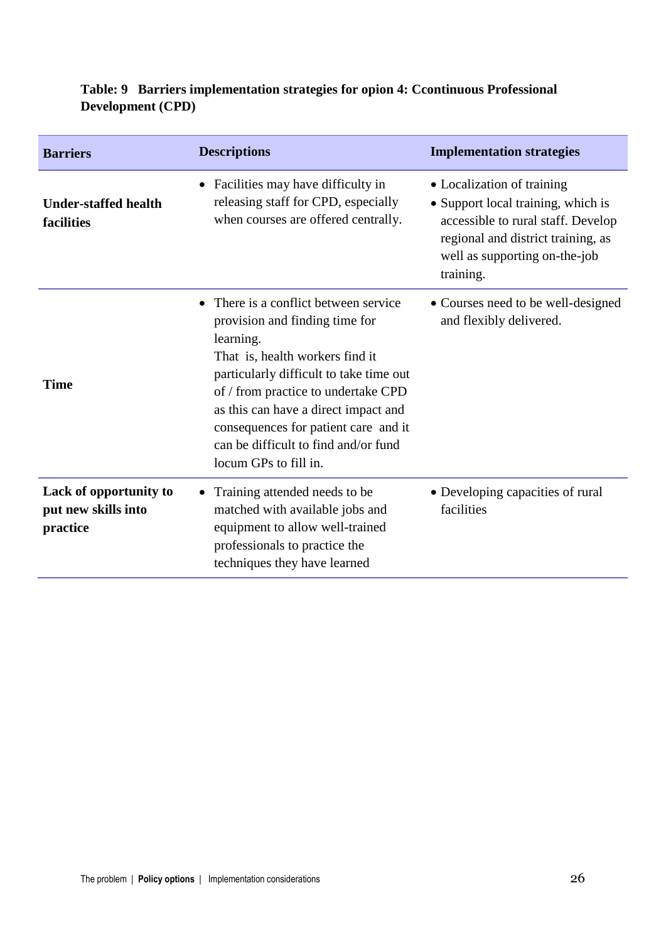| <b>Barriers</b>                                           | <b>Descriptions</b>                                                                                                                                                                                                                                                                                                                                                   | <b>Implementation strategies</b>                                                                                                                                                           |
|-----------------------------------------------------------|-----------------------------------------------------------------------------------------------------------------------------------------------------------------------------------------------------------------------------------------------------------------------------------------------------------------------------------------------------------------------|--------------------------------------------------------------------------------------------------------------------------------------------------------------------------------------------|
| <b>Under-staffed health</b><br>facilities                 | Facilities may have difficulty in<br>$\bullet$<br>releasing staff for CPD, especially<br>when courses are offered centrally.                                                                                                                                                                                                                                          | • Localization of training<br>• Support local training, which is<br>accessible to rural staff. Develop<br>regional and district training, as<br>well as supporting on-the-job<br>training. |
| <b>Time</b>                                               | There is a conflict between service<br>$\bullet$<br>provision and finding time for<br>learning.<br>That is, health workers find it<br>particularly difficult to take time out<br>of / from practice to undertake CPD<br>as this can have a direct impact and<br>consequences for patient care and it<br>can be difficult to find and/or fund<br>locum GPs to fill in. | • Courses need to be well-designed<br>and flexibly delivered.                                                                                                                              |
| Lack of opportunity to<br>put new skills into<br>practice | Training attended needs to be<br>matched with available jobs and<br>equipment to allow well-trained<br>professionals to practice the<br>techniques they have learned                                                                                                                                                                                                  | • Developing capacities of rural<br>facilities                                                                                                                                             |

# **Table: 9 Barriers implementation strategies for opion 4: Ccontinuous Professional Development (CPD)**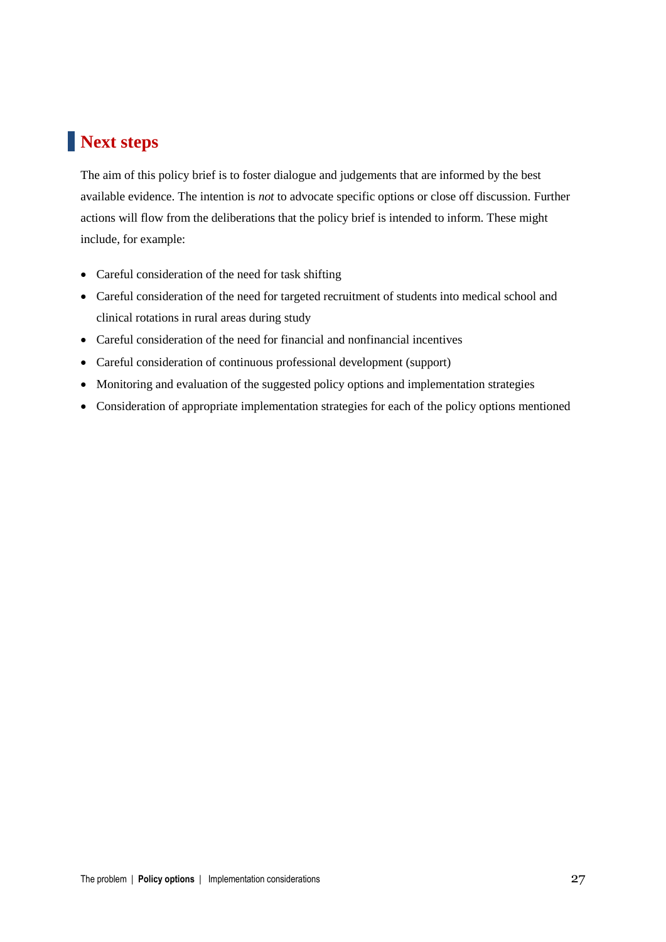# **Next steps**

The aim of this policy brief is to foster dialogue and judgements that are informed by the best available evidence. The intention is *not* to advocate specific options or close off discussion. Further actions will flow from the deliberations that the policy brief is intended to inform. These might include, for example:

- Careful consideration of the need for task shifting
- Careful consideration of the need for targeted recruitment of students into medical school and clinical rotations in rural areas during study
- Careful consideration of the need for financial and nonfinancial incentives
- Careful consideration of continuous professional development (support)
- Monitoring and evaluation of the suggested policy options and implementation strategies
- Consideration of appropriate implementation strategies for each of the policy options mentioned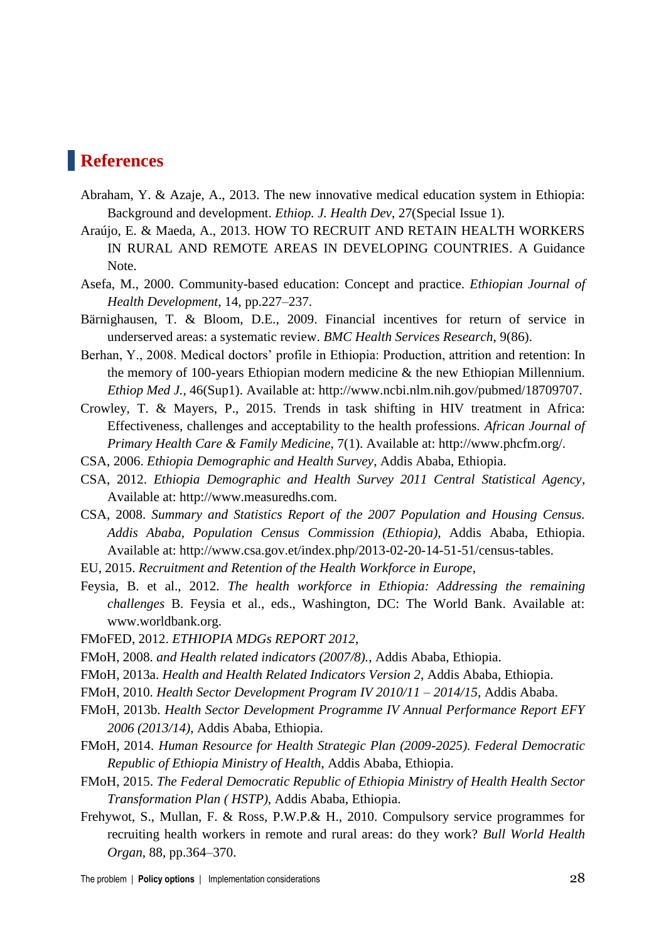# **References**

- Abraham, Y. & Azaje, A., 2013. The new innovative medical education system in Ethiopia: Background and development. *Ethiop. J. Health Dev*, 27(Special Issue 1).
- Araújo, E. & Maeda, A., 2013. HOW TO RECRUIT AND RETAIN HEALTH WORKERS IN RURAL AND REMOTE AREAS IN DEVELOPING COUNTRIES. A Guidance Note.
- Asefa, M., 2000. Community-based education: Concept and practice. *Ethiopian Journal of Health Development*, 14, pp.227–237.
- Bärnighausen, T. & Bloom, D.E., 2009. Financial incentives for return of service in underserved areas: a systematic review. *BMC Health Services Research*, 9(86).
- Berhan, Y., 2008. Medical doctors' profile in Ethiopia: Production, attrition and retention: In the memory of 100-years Ethiopian modern medicine & the new Ethiopian Millennium. *Ethiop Med J.*, 46(Sup1). Available at: http://www.ncbi.nlm.nih.gov/pubmed/18709707.
- Crowley, T. & Mayers, P., 2015. Trends in task shifting in HIV treatment in Africa: Effectiveness, challenges and acceptability to the health professions. *African Journal of Primary Health Care & Family Medicine*, 7(1). Available at: http://www.phcfm.org/.
- CSA, 2006. *Ethiopia Demographic and Health Survey*, Addis Ababa, Ethiopia.
- CSA, 2012. *Ethiopia Demographic and Health Survey 2011 Central Statistical Agency*, Available at: http://www.measuredhs.com.
- CSA, 2008. *Summary and Statistics Report of the 2007 Population and Housing Census. Addis Ababa, Population Census Commission (Ethiopia)*, Addis Ababa, Ethiopia. Available at: http://www.csa.gov.et/index.php/2013-02-20-14-51-51/census-tables.
- EU, 2015. *Recruitment and Retention of the Health Workforce in Europe*,
- Feysia, B. et al., 2012. *The health workforce in Ethiopia: Addressing the remaining challenges* B. Feysia et al., eds., Washington, DC: The World Bank. Available at: www.worldbank.org.
- FMoFED, 2012. *ETHIOPIA MDGs REPORT 2012*,
- FMoH, 2008. *and Health related indicators (2007/8).*, Addis Ababa, Ethiopia.
- FMoH, 2013a. *Health and Health Related Indicators Version 2*, Addis Ababa, Ethiopia.
- FMoH, 2010. *Health Sector Development Program IV 2010/11 – 2014/15*, Addis Ababa.
- FMoH, 2013b. *Health Sector Development Programme IV Annual Performance Report EFY 2006 (2013/14)*, Addis Ababa, Ethiopia.
- FMoH, 2014. *Human Resource for Health Strategic Plan (2009-2025). Federal Democratic Republic of Ethiopia Ministry of Health*, Addis Ababa, Ethiopia.
- FMoH, 2015. *The Federal Democratic Republic of Ethiopia Ministry of Health Health Sector Transformation Plan ( HSTP)*, Addis Ababa, Ethiopia.
- Frehywot, S., Mullan, F. & Ross, P.W.P.& H., 2010. Compulsory service programmes for recruiting health workers in remote and rural areas: do they work? *Bull World Health Organ*, 88, pp.364–370.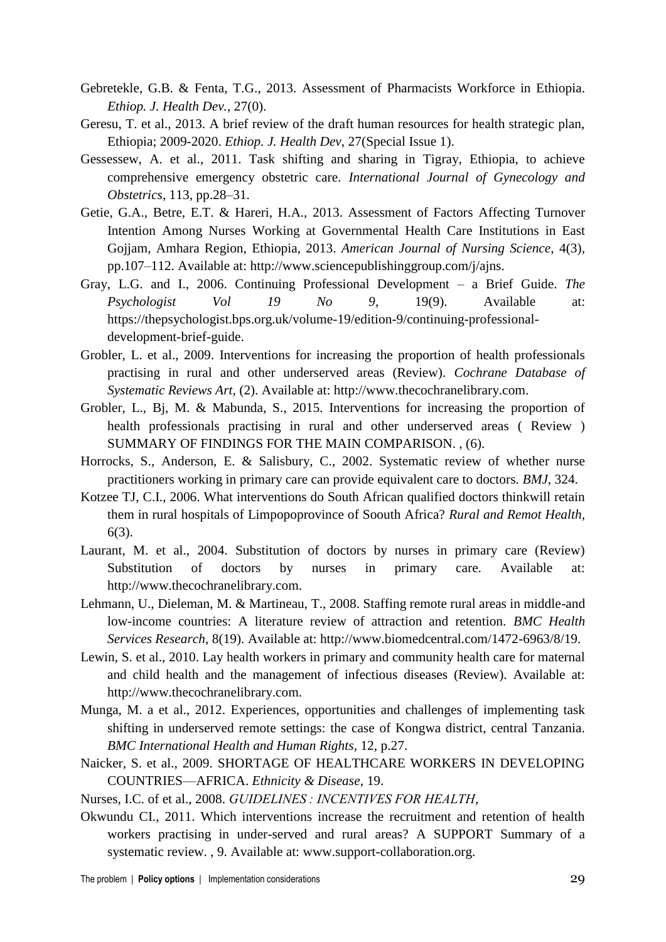- Gebretekle, G.B. & Fenta, T.G., 2013. Assessment of Pharmacists Workforce in Ethiopia. *Ethiop. J. Health Dev.*, 27(0).
- Geresu, T. et al., 2013. A brief review of the draft human resources for health strategic plan, Ethiopia; 2009-2020. *Ethiop. J. Health Dev*, 27(Special Issue 1).
- Gessessew, A. et al., 2011. Task shifting and sharing in Tigray, Ethiopia, to achieve comprehensive emergency obstetric care. *International Journal of Gynecology and Obstetrics*, 113, pp.28–31.
- Getie, G.A., Betre, E.T. & Hareri, H.A., 2013. Assessment of Factors Affecting Turnover Intention Among Nurses Working at Governmental Health Care Institutions in East Gojjam, Amhara Region, Ethiopia, 2013. *American Journal of Nursing Science*, 4(3), pp.107–112. Available at: http://www.sciencepublishinggroup.com/j/ajns.
- Gray, L.G. and I., 2006. Continuing Professional Development a Brief Guide. *The Psychologist Vol 19 No 9*, 19(9). Available at: https://thepsychologist.bps.org.uk/volume-19/edition-9/continuing-professionaldevelopment-brief-guide.
- Grobler, L. et al., 2009. Interventions for increasing the proportion of health professionals practising in rural and other underserved areas (Review). *Cochrane Database of Systematic Reviews Art*, (2). Available at: http://www.thecochranelibrary.com.
- Grobler, L., Bj, M. & Mabunda, S., 2015. Interventions for increasing the proportion of health professionals practising in rural and other underserved areas ( Review ) SUMMARY OF FINDINGS FOR THE MAIN COMPARISON. , (6).
- Horrocks, S., Anderson, E. & Salisbury, C., 2002. Systematic review of whether nurse practitioners working in primary care can provide equivalent care to doctors. *BMJ*, 324.
- Kotzee TJ, C.I., 2006. What interventions do South African qualified doctors thinkwill retain them in rural hospitals of Limpopoprovince of Soouth Africa? *Rural and Remot Health*, 6(3).
- Laurant, M. et al., 2004. Substitution of doctors by nurses in primary care (Review) Substitution of doctors by nurses in primary care. Available at: http://www.thecochranelibrary.com.
- Lehmann, U., Dieleman, M. & Martineau, T., 2008. Staffing remote rural areas in middle-and low-income countries: A literature review of attraction and retention. *BMC Health Services Research*, 8(19). Available at: http://www.biomedcentral.com/1472-6963/8/19.
- Lewin, S. et al., 2010. Lay health workers in primary and community health care for maternal and child health and the management of infectious diseases (Review). Available at: http://www.thecochranelibrary.com.
- Munga, M. a et al., 2012. Experiences, opportunities and challenges of implementing task shifting in underserved remote settings: the case of Kongwa district, central Tanzania. *BMC International Health and Human Rights*, 12, p.27.
- Naicker, S. et al., 2009. SHORTAGE OF HEALTHCARE WORKERS IN DEVELOPING COUNTRIES—AFRICA. *Ethnicity & Disease*, 19.
- Nurses, I.C. of et al., 2008. *GUIDELINES : INCENTIVES FOR HEALTH*,
- Okwundu CI., 2011. Which interventions increase the recruitment and retention of health workers practising in under-served and rural areas? A SUPPORT Summary of a systematic review. , 9. Available at: www.support-collaboration.org.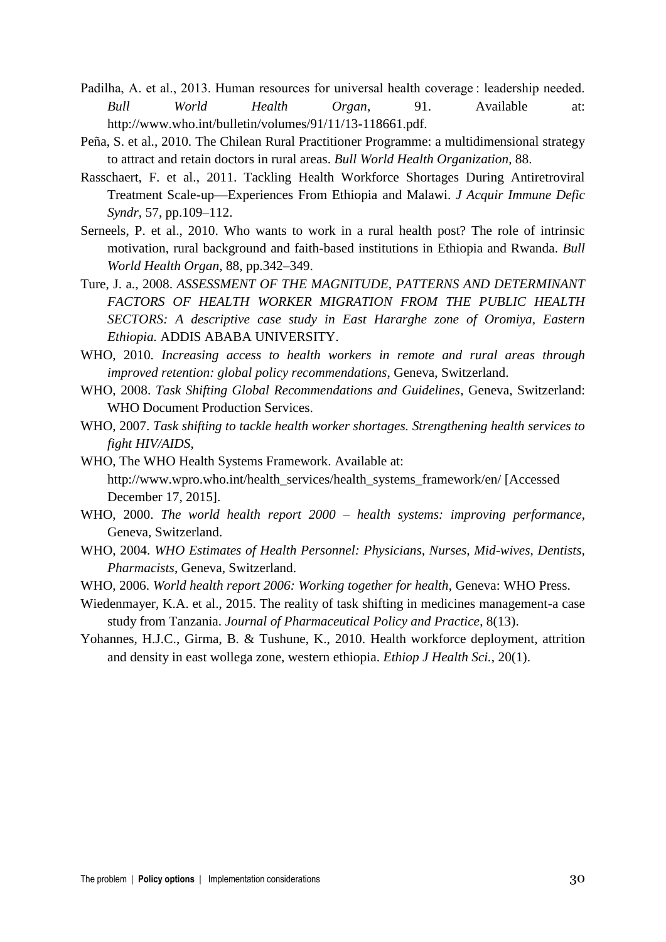- Padilha, A. et al., 2013. Human resources for universal health coverage : leadership needed. *Bull World Health Organ*, 91. Available at: http://www.who.int/bulletin/volumes/91/11/13-118661.pdf.
- Peña, S. et al., 2010. The Chilean Rural Practitioner Programme: a multidimensional strategy to attract and retain doctors in rural areas. *Bull World Health Organization*, 88.
- Rasschaert, F. et al., 2011. Tackling Health Workforce Shortages During Antiretroviral Treatment Scale-up—Experiences From Ethiopia and Malawi. *J Acquir Immune Defic Syndr*, 57, pp.109–112.
- Serneels, P. et al., 2010. Who wants to work in a rural health post? The role of intrinsic motivation, rural background and faith-based institutions in Ethiopia and Rwanda. *Bull World Health Organ*, 88, pp.342–349.
- Ture, J. a., 2008. *ASSESSMENT OF THE MAGNITUDE, PATTERNS AND DETERMINANT FACTORS OF HEALTH WORKER MIGRATION FROM THE PUBLIC HEALTH SECTORS: A descriptive case study in East Hararghe zone of Oromiya, Eastern Ethiopia.* ADDIS ABABA UNIVERSITY.
- WHO, 2010. *Increasing access to health workers in remote and rural areas through improved retention: global policy recommendations*, Geneva, Switzerland.
- WHO, 2008. *Task Shifting Global Recommendations and Guidelines*, Geneva, Switzerland: WHO Document Production Services.
- WHO, 2007. *Task shifting to tackle health worker shortages. Strengthening health services to fight HIV/AIDS*,
- WHO, The WHO Health Systems Framework. Available at: http://www.wpro.who.int/health\_services/health\_systems\_framework/en/ [Accessed December 17, 2015].
- WHO, 2000. *The world health report 2000 – health systems: improving performance*, Geneva, Switzerland.
- WHO, 2004. *WHO Estimates of Health Personnel: Physicians, Nurses, Mid-wives, Dentists, Pharmacists*, Geneva, Switzerland.
- WHO, 2006. *World health report 2006: Working together for health*, Geneva: WHO Press.
- Wiedenmayer, K.A. et al., 2015. The reality of task shifting in medicines management-a case study from Tanzania. *Journal of Pharmaceutical Policy and Practice*, 8(13).
- Yohannes, H.J.C., Girma, B. & Tushune, K., 2010. Health workforce deployment, attrition and density in east wollega zone, western ethiopia. *Ethiop J Health Sci.*, 20(1).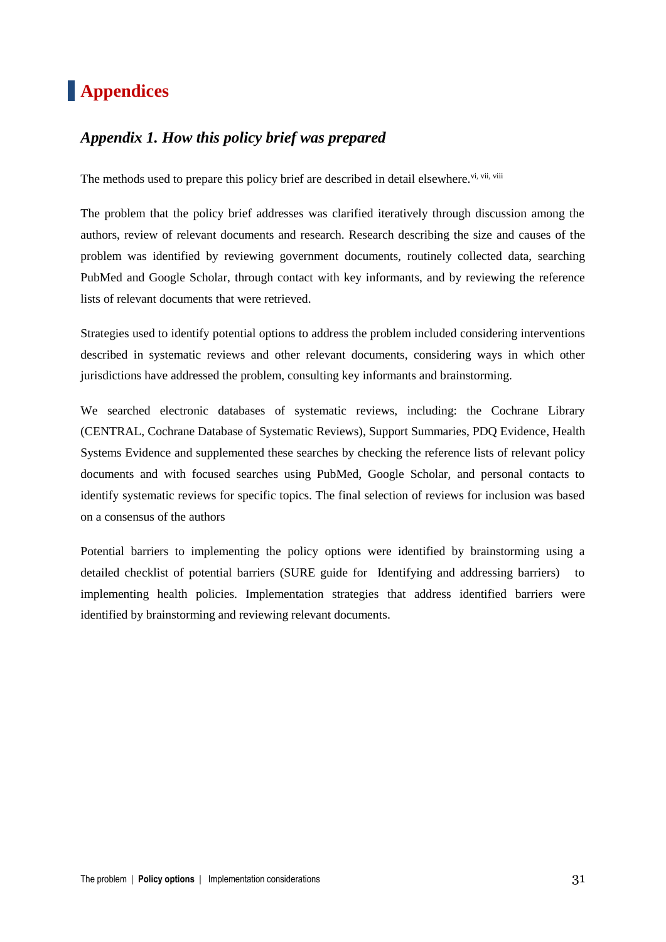# **Appendices**

# *Appendix 1. How this policy brief was prepared*

The methods used to prepare this policy brief are described in detail elsewhere.<sup>vi, vii, viii</sup>

The problem that the policy brief addresses was clarified iteratively through discussion among the authors, review of relevant documents and research. Research describing the size and causes of the problem was identified by reviewing government documents, routinely collected data, searching PubMed and Google Scholar, through contact with key informants, and by reviewing the reference lists of relevant documents that were retrieved.

Strategies used to identify potential options to address the problem included considering interventions described in systematic reviews and other relevant documents, considering ways in which other jurisdictions have addressed the problem, consulting key informants and brainstorming.

We searched electronic databases of systematic reviews, including: the Cochrane Library (CENTRAL, Cochrane Database of Systematic Reviews), Support Summaries, PDQ Evidence, Health Systems Evidence and supplemented these searches by checking the reference lists of relevant policy documents and with focused searches using PubMed, Google Scholar, and personal contacts to identify systematic reviews for specific topics. The final selection of reviews for inclusion was based on a consensus of the authors

Potential barriers to implementing the policy options were identified by brainstorming using a detailed checklist of potential barriers (SURE guide for Identifying and addressing barriers) to implementing health policies. Implementation strategies that address identified barriers were identified by brainstorming and reviewing relevant documents.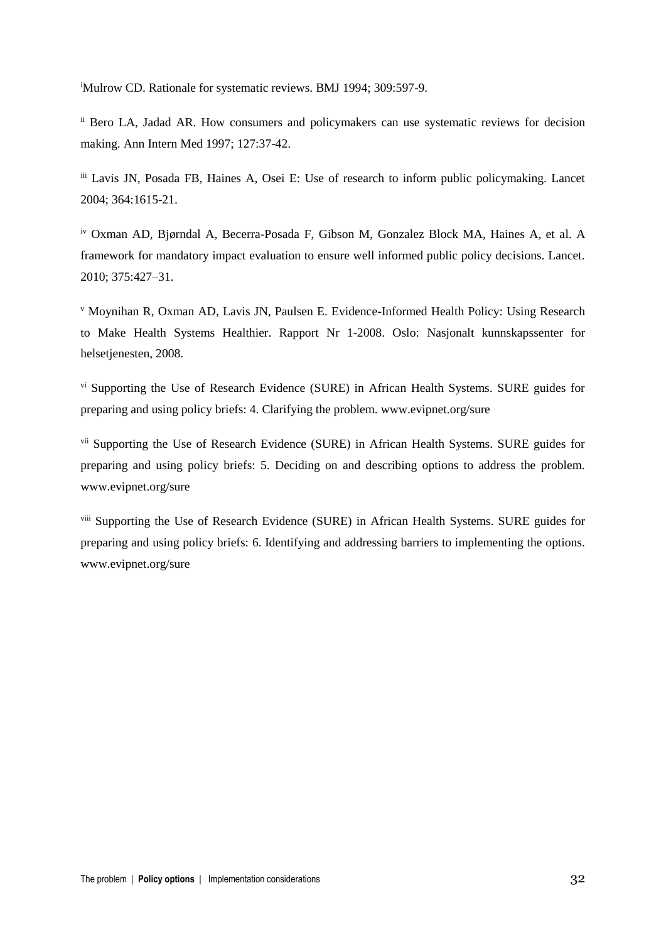<sup>i</sup>Mulrow CD. Rationale for systematic reviews. BMJ 1994; 309:597-9.

ii Bero LA, Jadad AR. How consumers and policymakers can use systematic reviews for decision making. Ann Intern Med 1997; 127:37-42.

iii Lavis JN, Posada FB, Haines A, Osei E: Use of research to inform public policymaking. Lancet 2004; 364:1615-21.

iv Oxman AD, Bjørndal A, Becerra-Posada F, Gibson M, Gonzalez Block MA, Haines A, et al. A framework for mandatory impact evaluation to ensure well informed public policy decisions. Lancet. 2010; 375:427–31.

<sup>v</sup> Moynihan R, Oxman AD, Lavis JN, Paulsen E. Evidence-Informed Health Policy: Using Research to Make Health Systems Healthier. Rapport Nr 1-2008. Oslo: Nasjonalt kunnskapssenter for helsetjenesten, 2008.

vi Supporting the Use of Research Evidence (SURE) in African Health Systems. SURE guides for preparing and using policy briefs: 4. Clarifying the problem. www.evipnet.org/sure

<sup>vii</sup> Supporting the Use of Research Evidence (SURE) in African Health Systems. SURE guides for preparing and using policy briefs: 5. Deciding on and describing options to address the problem. www.evipnet.org/sure

viii Supporting the Use of Research Evidence (SURE) in African Health Systems. SURE guides for preparing and using policy briefs: 6. Identifying and addressing barriers to implementing the options. www.evipnet.org/sure